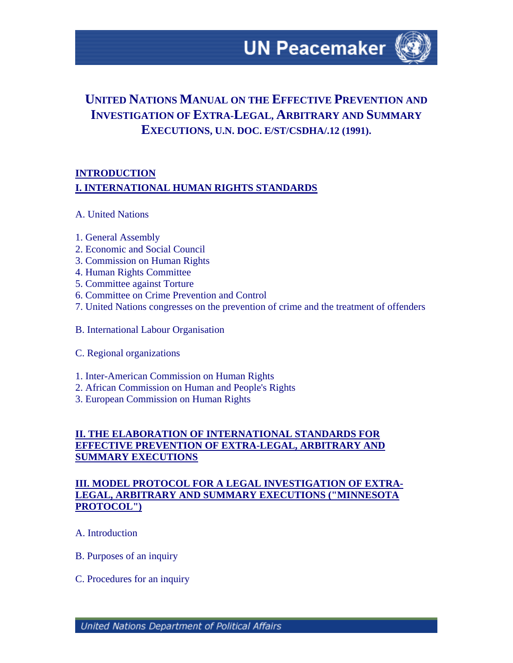# **UNITED NATIONS MANUAL ON THE EFFECTIVE PREVENTION AND INVESTIGATION OF EXTRA-LEGAL, ARBITRARY AND SUMMARY EXECUTIONS, U.N. DOC. E/ST/CSDHA/.12 (1991).**

# **INTRODUCTION I. INTERNATIONAL HUMAN RIGHTS STANDARDS**

- A. United Nations
- 1. General Assembly
- 2. Economic and Social Council
- 3. Commission on Human Rights
- 4. Human Rights Committee
- 5. Committee against Torture
- 6. Committee on Crime Prevention and Control
- 7. United Nations congresses on the prevention of crime and the treatment of offenders
- B. International Labour Organisation
- C. Regional organizations
- 1. Inter-American Commission on Human Rights
- 2. African Commission on Human and People's Rights
- 3. European Commission on Human Rights

### **II. THE ELABORATION OF INTERNATIONAL STANDARDS FOR EFFECTIVE PREVENTION OF EXTRA-LEGAL, ARBITRARY AND SUMMARY EXECUTIONS**

#### **III. MODEL PROTOCOL FOR A LEGAL INVESTIGATION OF EXTRA-LEGAL, ARBITRARY AND SUMMARY EXECUTIONS ("MINNESOTA PROTOCOL")**

- A. Introduction
- B. Purposes of an inquiry
- C. Procedures for an inquiry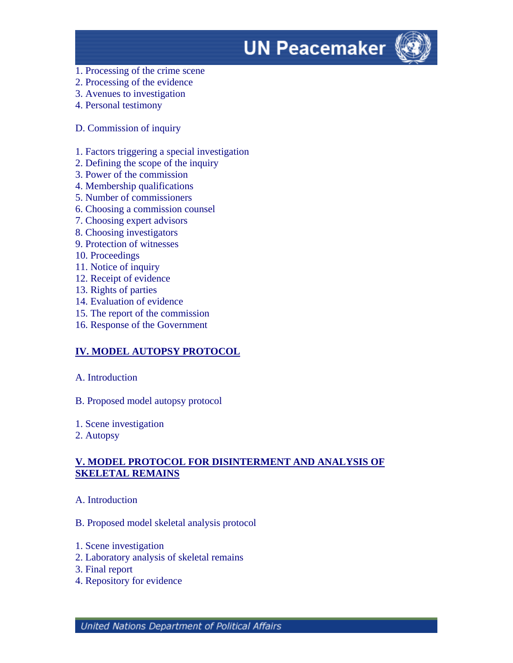- **UN Peacemaker**
- 1. Processing of the crime scene
- 2. Processing of the evidence
- 3. Avenues to investigation
- 4. Personal testimony

D. Commission of inquiry

- 1. Factors triggering a special investigation
- 2. Defining the scope of the inquiry
- 3. Power of the commission
- 4. Membership qualifications
- 5. Number of commissioners
- 6. Choosing a commission counsel
- 7. Choosing expert advisors
- 8. Choosing investigators
- 9. Protection of witnesses
- 10. Proceedings
- 11. Notice of inquiry
- 12. Receipt of evidence
- 13. Rights of parties
- 14. Evaluation of evidence
- 15. The report of the commission
- 16. Response of the Government

# **IV. MODEL AUTOPSY PROTOCOL**

- A. Introduction
- B. Proposed model autopsy protocol
- 1. Scene investigation
- 2. Autopsy

# **V. MODEL PROTOCOL FOR DISINTERMENT AND ANALYSIS OF SKELETAL REMAINS**

- A. Introduction
- B. Proposed model skeletal analysis protocol
- 1. Scene investigation
- 2. Laboratory analysis of skeletal remains
- 3. Final report
- 4. Repository for evidence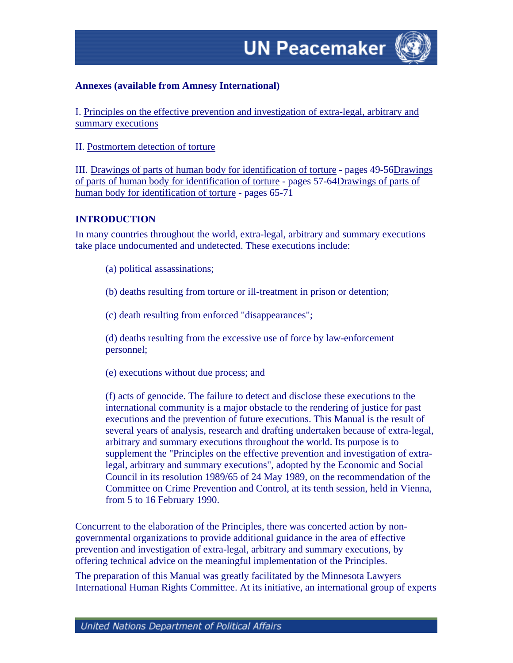

### **Annexes (available from Amnesy International)**

I. Principles on the effective prevention and investigation of extra-legal, arbitrary and summary executions

II. Postmortem detection of torture

III. Drawings of parts of human body for identification of torture - pages 49-56Drawings of parts of human body for identification of torture - pages 57-64Drawings of parts of human body for identification of torture - pages 65-71

### **INTRODUCTION**

In many countries throughout the world, extra-legal, arbitrary and summary executions take place undocumented and undetected. These executions include:

(a) political assassinations;

(b) deaths resulting from torture or ill-treatment in prison or detention;

(c) death resulting from enforced "disappearances";

(d) deaths resulting from the excessive use of force by law-enforcement personnel;

(e) executions without due process; and

(f) acts of genocide. The failure to detect and disclose these executions to the international community is a major obstacle to the rendering of justice for past executions and the prevention of future executions. This Manual is the result of several years of analysis, research and drafting undertaken because of extra-legal, arbitrary and summary executions throughout the world. Its purpose is to supplement the "Principles on the effective prevention and investigation of extralegal, arbitrary and summary executions", adopted by the Economic and Social Council in its resolution 1989/65 of 24 May 1989, on the recommendation of the Committee on Crime Prevention and Control, at its tenth session, held in Vienna, from 5 to 16 February 1990.

Concurrent to the elaboration of the Principles, there was concerted action by nongovernmental organizations to provide additional guidance in the area of effective prevention and investigation of extra-legal, arbitrary and summary executions, by offering technical advice on the meaningful implementation of the Principles.

The preparation of this Manual was greatly facilitated by the Minnesota Lawyers International Human Rights Committee. At its initiative, an international group of experts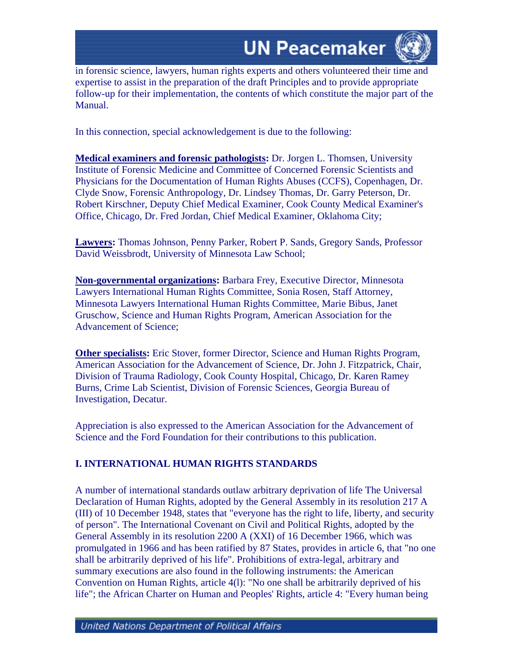

in forensic science, lawyers, human rights experts and others volunteered their time and expertise to assist in the preparation of the draft Principles and to provide appropriate follow-up for their implementation, the contents of which constitute the major part of the Manual.

In this connection, special acknowledgement is due to the following:

**Medical examiners and forensic pathologists:** Dr. Jorgen L. Thomsen, University Institute of Forensic Medicine and Committee of Concerned Forensic Scientists and Physicians for the Documentation of Human Rights Abuses (CCFS), Copenhagen, Dr. Clyde Snow, Forensic Anthropology, Dr. Lindsey Thomas, Dr. Garry Peterson, Dr. Robert Kirschner, Deputy Chief Medical Examiner, Cook County Medical Examiner's Office, Chicago, Dr. Fred Jordan, Chief Medical Examiner, Oklahoma City;

**Lawyers:** Thomas Johnson, Penny Parker, Robert P. Sands, Gregory Sands, Professor David Weissbrodt, University of Minnesota Law School;

**Non-governmental organizations:** Barbara Frey, Executive Director, Minnesota Lawyers International Human Rights Committee, Sonia Rosen, Staff Attorney, Minnesota Lawyers International Human Rights Committee, Marie Bibus, Janet Gruschow, Science and Human Rights Program, American Association for the Advancement of Science;

**Other specialists:** Eric Stover, former Director, Science and Human Rights Program, American Association for the Advancement of Science, Dr. John J. Fitzpatrick, Chair, Division of Trauma Radiology, Cook County Hospital, Chicago, Dr. Karen Ramey Burns, Crime Lab Scientist, Division of Forensic Sciences, Georgia Bureau of Investigation, Decatur.

Appreciation is also expressed to the American Association for the Advancement of Science and the Ford Foundation for their contributions to this publication.

## **I. INTERNATIONAL HUMAN RIGHTS STANDARDS**

A number of international standards outlaw arbitrary deprivation of life The Universal Declaration of Human Rights, adopted by the General Assembly in its resolution 217 A (III) of 10 December 1948, states that "everyone has the right to life, liberty, and security of person". The International Covenant on Civil and Political Rights, adopted by the General Assembly in its resolution 2200 A (XXI) of 16 December 1966, which was promulgated in 1966 and has been ratified by 87 States, provides in article 6, that "no one shall be arbitrarily deprived of his life". Prohibitions of extra-legal, arbitrary and summary executions are also found in the following instruments: the American Convention on Human Rights, article 4(l): "No one shall be arbitrarily deprived of his life"; the African Charter on Human and Peoples' Rights, article 4: "Every human being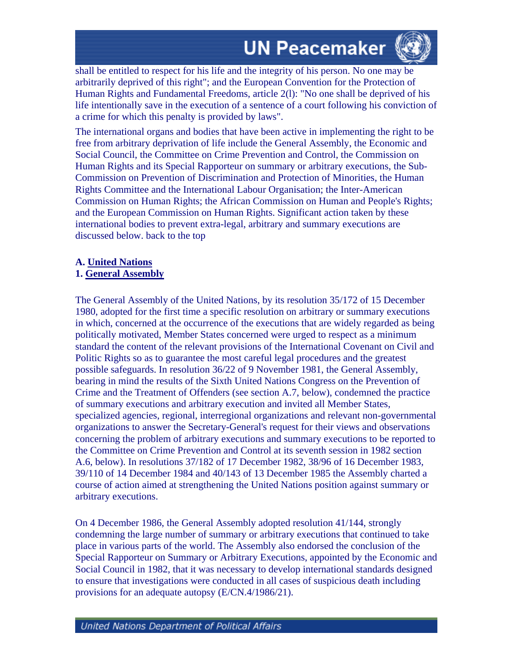

shall be entitled to respect for his life and the integrity of his person. No one may be arbitrarily deprived of this right"; and the European Convention for the Protection of Human Rights and Fundamental Freedoms, article 2(l): "No one shall be deprived of his life intentionally save in the execution of a sentence of a court following his conviction of a crime for which this penalty is provided by laws".

The international organs and bodies that have been active in implementing the right to be free from arbitrary deprivation of life include the General Assembly, the Economic and Social Council, the Committee on Crime Prevention and Control, the Commission on Human Rights and its Special Rapporteur on summary or arbitrary executions, the Sub-Commission on Prevention of Discrimination and Protection of Minorities, the Human Rights Committee and the International Labour Organisation; the Inter-American Commission on Human Rights; the African Commission on Human and People's Rights; and the European Commission on Human Rights. Significant action taken by these international bodies to prevent extra-legal, arbitrary and summary executions are discussed below. back to the top

#### **A. United Nations 1. General Assembly**

The General Assembly of the United Nations, by its resolution 35/172 of 15 December 1980, adopted for the first time a specific resolution on arbitrary or summary executions in which, concerned at the occurrence of the executions that are widely regarded as being politically motivated, Member States concerned were urged to respect as a minimum standard the content of the relevant provisions of the International Covenant on Civil and Politic Rights so as to guarantee the most careful legal procedures and the greatest possible safeguards. In resolution 36/22 of 9 November 1981, the General Assembly, bearing in mind the results of the Sixth United Nations Congress on the Prevention of Crime and the Treatment of Offenders (see section A.7, below), condemned the practice of summary executions and arbitrary execution and invited all Member States, specialized agencies, regional, interregional organizations and relevant non-governmental organizations to answer the Secretary-General's request for their views and observations concerning the problem of arbitrary executions and summary executions to be reported to the Committee on Crime Prevention and Control at its seventh session in 1982 section A.6, below). In resolutions 37/182 of 17 December 1982, 38/96 of 16 December 1983, 39/110 of 14 December 1984 and 40/143 of 13 December 1985 the Assembly charted a course of action aimed at strengthening the United Nations position against summary or arbitrary executions.

On 4 December 1986, the General Assembly adopted resolution 41/144, strongly condemning the large number of summary or arbitrary executions that continued to take place in various parts of the world. The Assembly also endorsed the conclusion of the Special Rapporteur on Summary or Arbitrary Executions, appointed by the Economic and Social Council in 1982, that it was necessary to develop international standards designed to ensure that investigations were conducted in all cases of suspicious death including provisions for an adequate autopsy (E/CN.4/1986/21).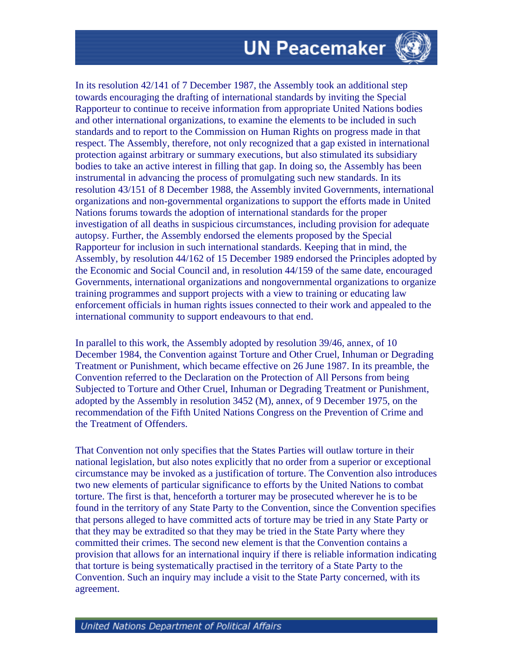In its resolution 42/141 of 7 December 1987, the Assembly took an additional step towards encouraging the drafting of international standards by inviting the Special Rapporteur to continue to receive information from appropriate United Nations bodies and other international organizations, to examine the elements to be included in such standards and to report to the Commission on Human Rights on progress made in that respect. The Assembly, therefore, not only recognized that a gap existed in international protection against arbitrary or summary executions, but also stimulated its subsidiary bodies to take an active interest in filling that gap. In doing so, the Assembly has been instrumental in advancing the process of promulgating such new standards. In its resolution 43/151 of 8 December 1988, the Assembly invited Governments, international organizations and non-governmental organizations to support the efforts made in United Nations forums towards the adoption of international standards for the proper investigation of all deaths in suspicious circumstances, including provision for adequate autopsy. Further, the Assembly endorsed the elements proposed by the Special Rapporteur for inclusion in such international standards. Keeping that in mind, the Assembly, by resolution 44/162 of 15 December 1989 endorsed the Principles adopted by the Economic and Social Council and, in resolution 44/159 of the same date, encouraged Governments, international organizations and nongovernmental organizations to organize training programmes and support projects with a view to training or educating law enforcement officials in human rights issues connected to their work and appealed to the international community to support endeavours to that end.

In parallel to this work, the Assembly adopted by resolution 39/46, annex, of 10 December 1984, the Convention against Torture and Other Cruel, Inhuman or Degrading Treatment or Punishment, which became effective on 26 June 1987. In its preamble, the Convention referred to the Declaration on the Protection of All Persons from being Subjected to Torture and Other Cruel, Inhuman or Degrading Treatment or Punishment, adopted by the Assembly in resolution 3452 (M), annex, of 9 December 1975, on the recommendation of the Fifth United Nations Congress on the Prevention of Crime and the Treatment of Offenders.

That Convention not only specifies that the States Parties will outlaw torture in their national legislation, but also notes explicitly that no order from a superior or exceptional circumstance may be invoked as a justification of torture. The Convention also introduces two new elements of particular significance to efforts by the United Nations to combat torture. The first is that, henceforth a torturer may be prosecuted wherever he is to be found in the territory of any State Party to the Convention, since the Convention specifies that persons alleged to have committed acts of torture may be tried in any State Party or that they may be extradited so that they may be tried in the State Party where they committed their crimes. The second new element is that the Convention contains a provision that allows for an international inquiry if there is reliable information indicating that torture is being systematically practised in the territory of a State Party to the Convention. Such an inquiry may include a visit to the State Party concerned, with its agreement.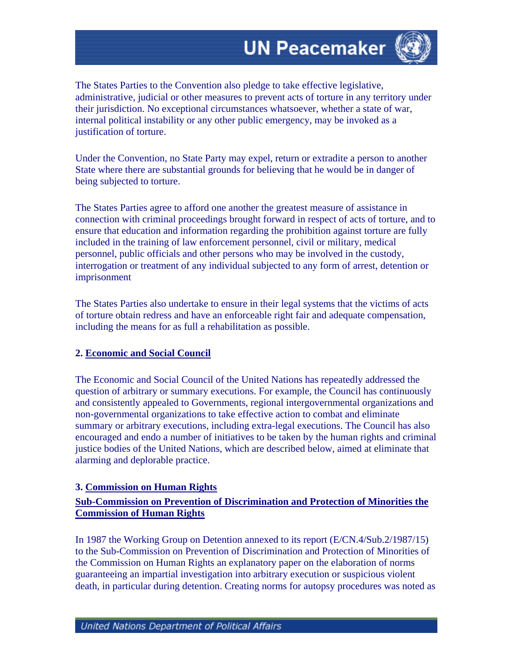

The States Parties to the Convention also pledge to take effective legislative, administrative, judicial or other measures to prevent acts of torture in any territory under their jurisdiction. No exceptional circumstances whatsoever, whether a state of war, internal political instability or any other public emergency, may be invoked as a justification of torture.

Under the Convention, no State Party may expel, return or extradite a person to another State where there are substantial grounds for believing that he would be in danger of being subjected to torture.

The States Parties agree to afford one another the greatest measure of assistance in connection with criminal proceedings brought forward in respect of acts of torture, and to ensure that education and information regarding the prohibition against torture are fully included in the training of law enforcement personnel, civil or military, medical personnel, public officials and other persons who may be involved in the custody, interrogation or treatment of any individual subjected to any form of arrest, detention or imprisonment

The States Parties also undertake to ensure in their legal systems that the victims of acts of torture obtain redress and have an enforceable right fair and adequate compensation, including the means for as full a rehabilitation as possible.

### **2. Economic and Social Council**

The Economic and Social Council of the United Nations has repeatedly addressed the question of arbitrary or summary executions. For example, the Council has continuously and consistently appealed to Governments, regional intergovernmental organizations and non-governmental organizations to take effective action to combat and eliminate summary or arbitrary executions, including extra-legal executions. The Council has also encouraged and endo a number of initiatives to be taken by the human rights and criminal justice bodies of the United Nations, which are described below, aimed at eliminate that alarming and deplorable practice.

### **3. Commission on Human Rights**

## **Sub-Commission on Prevention of Discrimination and Protection of Minorities the Commission of Human Rights**

In 1987 the Working Group on Detention annexed to its report (E/CN.4/Sub.2/1987/15) to the Sub-Commission on Prevention of Discrimination and Protection of Minorities of the Commission on Human Rights an explanatory paper on the elaboration of norms guaranteeing an impartial investigation into arbitrary execution or suspicious violent death, in particular during detention. Creating norms for autopsy procedures was noted as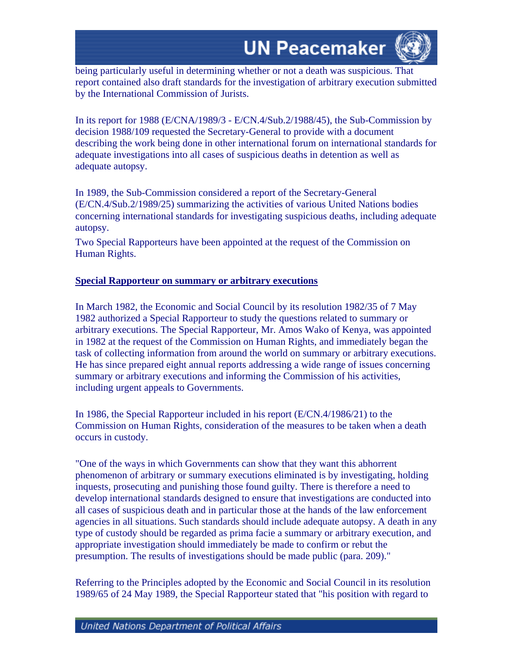

being particularly useful in determining whether or not a death was suspicious. That report contained also draft standards for the investigation of arbitrary execution submitted by the International Commission of Jurists.

In its report for 1988 (E/CNA/1989/3 - E/CN.4/Sub.2/1988/45), the Sub-Commission by decision 1988/109 requested the Secretary-General to provide with a document describing the work being done in other international forum on international standards for adequate investigations into all cases of suspicious deaths in detention as well as adequate autopsy.

In 1989, the Sub-Commission considered a report of the Secretary-General (E/CN.4/Sub.2/1989/25) summarizing the activities of various United Nations bodies concerning international standards for investigating suspicious deaths, including adequate autopsy.

Two Special Rapporteurs have been appointed at the request of the Commission on Human Rights.

### **Special Rapporteur on summary or arbitrary executions**

In March 1982, the Economic and Social Council by its resolution 1982/35 of 7 May 1982 authorized a Special Rapporteur to study the questions related to summary or arbitrary executions. The Special Rapporteur, Mr. Amos Wako of Kenya, was appointed in 1982 at the request of the Commission on Human Rights, and immediately began the task of collecting information from around the world on summary or arbitrary executions. He has since prepared eight annual reports addressing a wide range of issues concerning summary or arbitrary executions and informing the Commission of his activities, including urgent appeals to Governments.

In 1986, the Special Rapporteur included in his report (E/CN.4/1986/21) to the Commission on Human Rights, consideration of the measures to be taken when a death occurs in custody.

"One of the ways in which Governments can show that they want this abhorrent phenomenon of arbitrary or summary executions eliminated is by investigating, holding inquests, prosecuting and punishing those found guilty. There is therefore a need to develop international standards designed to ensure that investigations are conducted into all cases of suspicious death and in particular those at the hands of the law enforcement agencies in all situations. Such standards should include adequate autopsy. A death in any type of custody should be regarded as prima facie a summary or arbitrary execution, and appropriate investigation should immediately be made to confirm or rebut the presumption. The results of investigations should be made public (para. 209)."

Referring to the Principles adopted by the Economic and Social Council in its resolution 1989/65 of 24 May 1989, the Special Rapporteur stated that "his position with regard to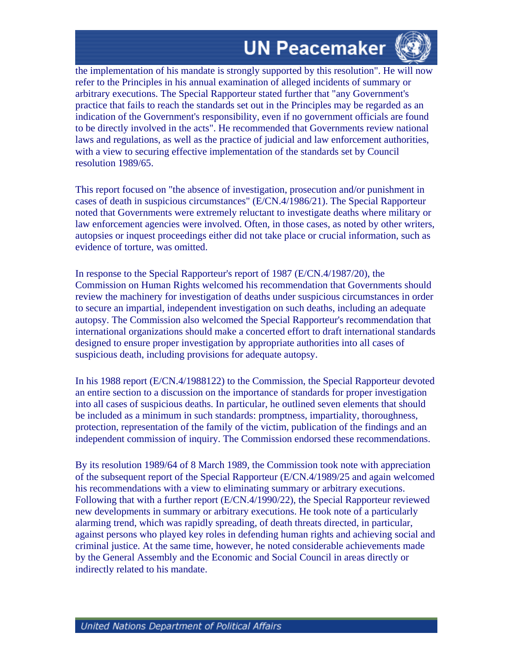

the implementation of his mandate is strongly supported by this resolution". He will now refer to the Principles in his annual examination of alleged incidents of summary or arbitrary executions. The Special Rapporteur stated further that "any Government's practice that fails to reach the standards set out in the Principles may be regarded as an indication of the Government's responsibility, even if no government officials are found to be directly involved in the acts". He recommended that Governments review national laws and regulations, as well as the practice of judicial and law enforcement authorities, with a view to securing effective implementation of the standards set by Council resolution 1989/65.

This report focused on "the absence of investigation, prosecution and/or punishment in cases of death in suspicious circumstances" (E/CN.4/1986/21). The Special Rapporteur noted that Governments were extremely reluctant to investigate deaths where military or law enforcement agencies were involved. Often, in those cases, as noted by other writers, autopsies or inquest proceedings either did not take place or crucial information, such as evidence of torture, was omitted.

In response to the Special Rapporteur's report of 1987 (E/CN.4/1987/20), the Commission on Human Rights welcomed his recommendation that Governments should review the machinery for investigation of deaths under suspicious circumstances in order to secure an impartial, independent investigation on such deaths, including an adequate autopsy. The Commission also welcomed the Special Rapporteur's recommendation that international organizations should make a concerted effort to draft international standards designed to ensure proper investigation by appropriate authorities into all cases of suspicious death, including provisions for adequate autopsy.

In his 1988 report (E/CN.4/1988122) to the Commission, the Special Rapporteur devoted an entire section to a discussion on the importance of standards for proper investigation into all cases of suspicious deaths. In particular, he outlined seven elements that should be included as a minimum in such standards: promptness, impartiality, thoroughness, protection, representation of the family of the victim, publication of the findings and an independent commission of inquiry. The Commission endorsed these recommendations.

By its resolution 1989/64 of 8 March 1989, the Commission took note with appreciation of the subsequent report of the Special Rapporteur (E/CN.4/1989/25 and again welcomed his recommendations with a view to eliminating summary or arbitrary executions. Following that with a further report (E/CN.4/1990/22), the Special Rapporteur reviewed new developments in summary or arbitrary executions. He took note of a particularly alarming trend, which was rapidly spreading, of death threats directed, in particular, against persons who played key roles in defending human rights and achieving social and criminal justice. At the same time, however, he noted considerable achievements made by the General Assembly and the Economic and Social Council in areas directly or indirectly related to his mandate.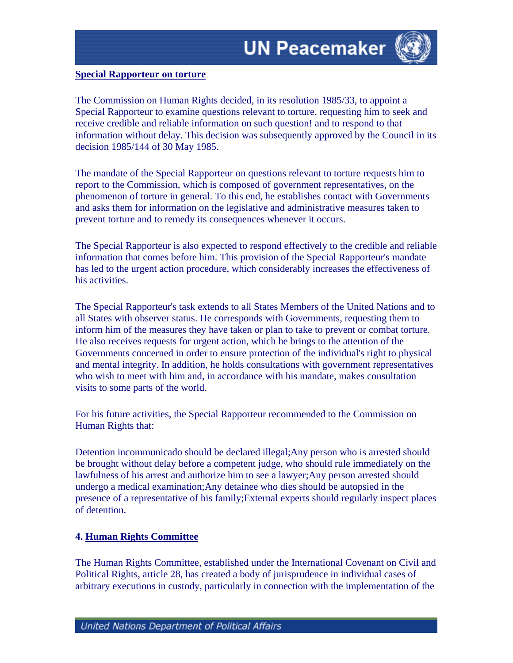

#### **Special Rapporteur on torture**

The Commission on Human Rights decided, in its resolution 1985/33, to appoint a Special Rapporteur to examine questions relevant to torture, requesting him to seek and receive credible and reliable information on such question! and to respond to that information without delay. This decision was subsequently approved by the Council in its decision 1985/144 of 30 May 1985.

The mandate of the Special Rapporteur on questions relevant to torture requests him to report to the Commission, which is composed of government representatives, on the phenomenon of torture in general. To this end, he establishes contact with Governments and asks them for information on the legislative and administrative measures taken to prevent torture and to remedy its consequences whenever it occurs.

The Special Rapporteur is also expected to respond effectively to the credible and reliable information that comes before him. This provision of the Special Rapporteur's mandate has led to the urgent action procedure, which considerably increases the effectiveness of his activities.

The Special Rapporteur's task extends to all States Members of the United Nations and to all States with observer status. He corresponds with Governments, requesting them to inform him of the measures they have taken or plan to take to prevent or combat torture. He also receives requests for urgent action, which he brings to the attention of the Governments concerned in order to ensure protection of the individual's right to physical and mental integrity. In addition, he holds consultations with government representatives who wish to meet with him and, in accordance with his mandate, makes consultation visits to some parts of the world.

For his future activities, the Special Rapporteur recommended to the Commission on Human Rights that:

Detention incommunicado should be declared illegal;Any person who is arrested should be brought without delay before a competent judge, who should rule immediately on the lawfulness of his arrest and authorize him to see a lawyer;Any person arrested should undergo a medical examination;Any detainee who dies should be autopsied in the presence of a representative of his family;External experts should regularly inspect places of detention.

### **4. Human Rights Committee**

The Human Rights Committee, established under the International Covenant on Civil and Political Rights, article 28, has created a body of jurisprudence in individual cases of arbitrary executions in custody, particularly in connection with the implementation of the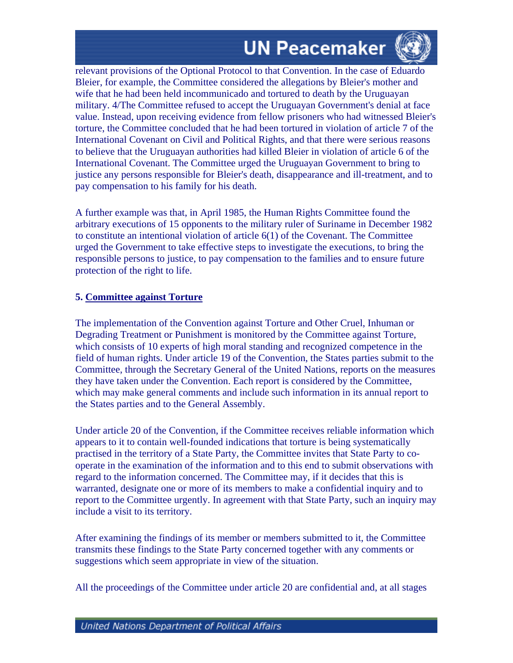

relevant provisions of the Optional Protocol to that Convention. In the case of Eduardo Bleier, for example, the Committee considered the allegations by Bleier's mother and wife that he had been held incommunicado and tortured to death by the Uruguayan military. 4/The Committee refused to accept the Uruguayan Government's denial at face value. Instead, upon receiving evidence from fellow prisoners who had witnessed Bleier's torture, the Committee concluded that he had been tortured in violation of article 7 of the International Covenant on Civil and Political Rights, and that there were serious reasons to believe that the Uruguayan authorities had killed Bleier in violation of article 6 of the International Covenant. The Committee urged the Uruguayan Government to bring to justice any persons responsible for Bleier's death, disappearance and ill-treatment, and to pay compensation to his family for his death.

A further example was that, in April 1985, the Human Rights Committee found the arbitrary executions of 15 opponents to the military ruler of Suriname in December 1982 to constitute an intentional violation of article 6(1) of the Covenant. The Committee urged the Government to take effective steps to investigate the executions, to bring the responsible persons to justice, to pay compensation to the families and to ensure future protection of the right to life.

#### **5. Committee against Torture**

The implementation of the Convention against Torture and Other Cruel, Inhuman or Degrading Treatment or Punishment is monitored by the Committee against Torture, which consists of 10 experts of high moral standing and recognized competence in the field of human rights. Under article 19 of the Convention, the States parties submit to the Committee, through the Secretary General of the United Nations, reports on the measures they have taken under the Convention. Each report is considered by the Committee, which may make general comments and include such information in its annual report to the States parties and to the General Assembly.

Under article 20 of the Convention, if the Committee receives reliable information which appears to it to contain well-founded indications that torture is being systematically practised in the territory of a State Party, the Committee invites that State Party to cooperate in the examination of the information and to this end to submit observations with regard to the information concerned. The Committee may, if it decides that this is warranted, designate one or more of its members to make a confidential inquiry and to report to the Committee urgently. In agreement with that State Party, such an inquiry may include a visit to its territory.

After examining the findings of its member or members submitted to it, the Committee transmits these findings to the State Party concerned together with any comments or suggestions which seem appropriate in view of the situation.

All the proceedings of the Committee under article 20 are confidential and, at all stages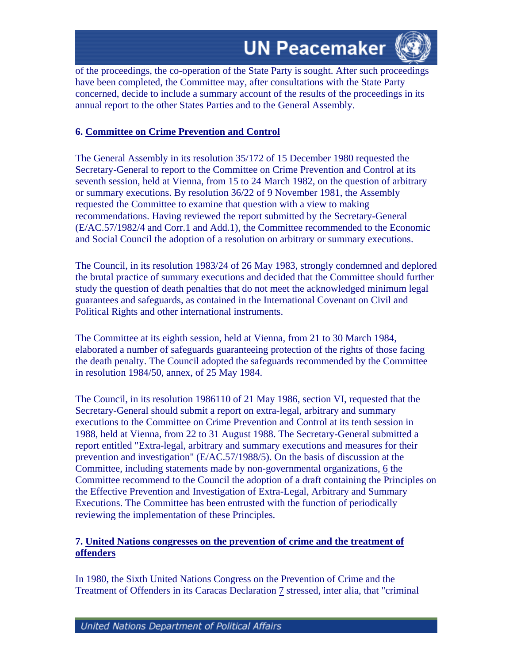



of the proceedings, the co-operation of the State Party is sought. After such proceedings have been completed, the Committee may, after consultations with the State Party concerned, decide to include a summary account of the results of the proceedings in its annual report to the other States Parties and to the General Assembly.

#### **6. Committee on Crime Prevention and Control**

The General Assembly in its resolution 35/172 of 15 December 1980 requested the Secretary-General to report to the Committee on Crime Prevention and Control at its seventh session, held at Vienna, from 15 to 24 March 1982, on the question of arbitrary or summary executions. By resolution 36/22 of 9 November 1981, the Assembly requested the Committee to examine that question with a view to making recommendations. Having reviewed the report submitted by the Secretary-General (E/AC.57/1982/4 and Corr.1 and Add.1), the Committee recommended to the Economic and Social Council the adoption of a resolution on arbitrary or summary executions.

The Council, in its resolution 1983/24 of 26 May 1983, strongly condemned and deplored the brutal practice of summary executions and decided that the Committee should further study the question of death penalties that do not meet the acknowledged minimum legal guarantees and safeguards, as contained in the International Covenant on Civil and Political Rights and other international instruments.

The Committee at its eighth session, held at Vienna, from 21 to 30 March 1984, elaborated a number of safeguards guaranteeing protection of the rights of those facing the death penalty. The Council adopted the safeguards recommended by the Committee in resolution 1984/50, annex, of 25 May 1984.

The Council, in its resolution 1986110 of 21 May 1986, section VI, requested that the Secretary-General should submit a report on extra-legal, arbitrary and summary executions to the Committee on Crime Prevention and Control at its tenth session in 1988, held at Vienna, from 22 to 31 August 1988. The Secretary-General submitted a report entitled "Extra-legal, arbitrary and summary executions and measures for their prevention and investigation" (E/AC.57/1988/5). On the basis of discussion at the Committee, including statements made by non-governmental organizations, 6 the Committee recommend to the Council the adoption of a draft containing the Principles on the Effective Prevention and Investigation of Extra-Legal, Arbitrary and Summary Executions. The Committee has been entrusted with the function of periodically reviewing the implementation of these Principles.

### **7. United Nations congresses on the prevention of crime and the treatment of offenders**

In 1980, the Sixth United Nations Congress on the Prevention of Crime and the Treatment of Offenders in its Caracas Declaration 7 stressed, inter alia, that "criminal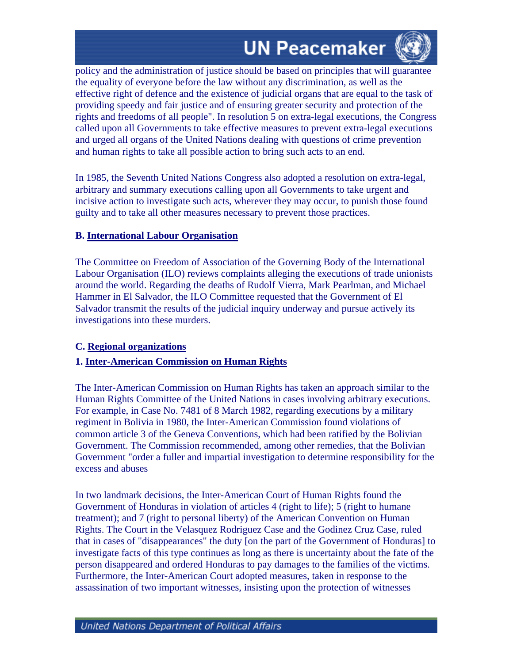

policy and the administration of justice should be based on principles that will guarantee the equality of everyone before the law without any discrimination, as well as the effective right of defence and the existence of judicial organs that are equal to the task of providing speedy and fair justice and of ensuring greater security and protection of the rights and freedoms of all people". In resolution 5 on extra-legal executions, the Congress called upon all Governments to take effective measures to prevent extra-legal executions and urged all organs of the United Nations dealing with questions of crime prevention and human rights to take all possible action to bring such acts to an end.

In 1985, the Seventh United Nations Congress also adopted a resolution on extra-legal, arbitrary and summary executions calling upon all Governments to take urgent and incisive action to investigate such acts, wherever they may occur, to punish those found guilty and to take all other measures necessary to prevent those practices.

#### **B. International Labour Organisation**

The Committee on Freedom of Association of the Governing Body of the International Labour Organisation (ILO) reviews complaints alleging the executions of trade unionists around the world. Regarding the deaths of Rudolf Vierra, Mark Pearlman, and Michael Hammer in El Salvador, the ILO Committee requested that the Government of El Salvador transmit the results of the judicial inquiry underway and pursue actively its investigations into these murders.

#### **C. Regional organizations**

### **1. Inter-American Commission on Human Rights**

The Inter-American Commission on Human Rights has taken an approach similar to the Human Rights Committee of the United Nations in cases involving arbitrary executions. For example, in Case No. 7481 of 8 March 1982, regarding executions by a military regiment in Bolivia in 1980, the Inter-American Commission found violations of common article 3 of the Geneva Conventions, which had been ratified by the Bolivian Government. The Commission recommended, among other remedies, that the Bolivian Government "order a fuller and impartial investigation to determine responsibility for the excess and abuses

In two landmark decisions, the Inter-American Court of Human Rights found the Government of Honduras in violation of articles 4 (right to life); 5 (right to humane treatment); and 7 (right to personal liberty) of the American Convention on Human Rights. The Court in the Velasquez Rodriguez Case and the Godinez Cruz Case, ruled that in cases of "disappearances" the duty [on the part of the Government of Honduras] to investigate facts of this type continues as long as there is uncertainty about the fate of the person disappeared and ordered Honduras to pay damages to the families of the victims. Furthermore, the Inter-American Court adopted measures, taken in response to the assassination of two important witnesses, insisting upon the protection of witnesses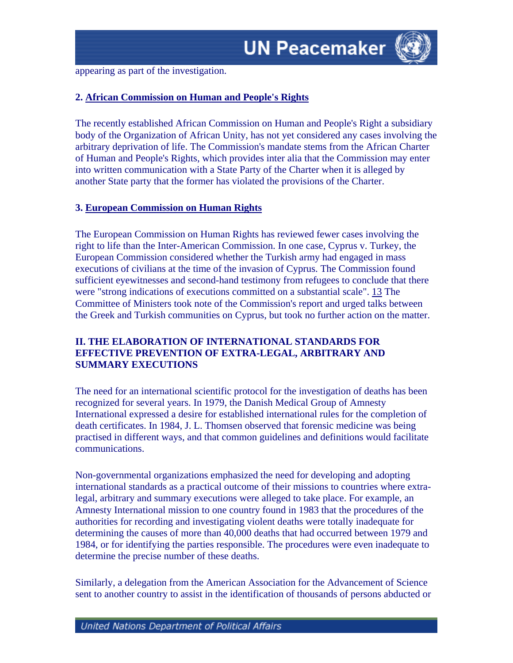

appearing as part of the investigation.

#### **2. African Commission on Human and People's Rights**

The recently established African Commission on Human and People's Right a subsidiary body of the Organization of African Unity, has not yet considered any cases involving the arbitrary deprivation of life. The Commission's mandate stems from the African Charter of Human and People's Rights, which provides inter alia that the Commission may enter into written communication with a State Party of the Charter when it is alleged by another State party that the former has violated the provisions of the Charter.

#### **3. European Commission on Human Rights**

The European Commission on Human Rights has reviewed fewer cases involving the right to life than the Inter-American Commission. In one case, Cyprus v. Turkey, the European Commission considered whether the Turkish army had engaged in mass executions of civilians at the time of the invasion of Cyprus. The Commission found sufficient eyewitnesses and second-hand testimony from refugees to conclude that there were "strong indications of executions committed on a substantial scale". 13 The Committee of Ministers took note of the Commission's report and urged talks between the Greek and Turkish communities on Cyprus, but took no further action on the matter.

### **II. THE ELABORATION OF INTERNATIONAL STANDARDS FOR EFFECTIVE PREVENTION OF EXTRA-LEGAL, ARBITRARY AND SUMMARY EXECUTIONS**

The need for an international scientific protocol for the investigation of deaths has been recognized for several years. In 1979, the Danish Medical Group of Amnesty International expressed a desire for established international rules for the completion of death certificates. In 1984, J. L. Thomsen observed that forensic medicine was being practised in different ways, and that common guidelines and definitions would facilitate communications.

Non-governmental organizations emphasized the need for developing and adopting international standards as a practical outcome of their missions to countries where extralegal, arbitrary and summary executions were alleged to take place. For example, an Amnesty International mission to one country found in 1983 that the procedures of the authorities for recording and investigating violent deaths were totally inadequate for determining the causes of more than 40,000 deaths that had occurred between 1979 and 1984, or for identifying the parties responsible. The procedures were even inadequate to determine the precise number of these deaths.

Similarly, a delegation from the American Association for the Advancement of Science sent to another country to assist in the identification of thousands of persons abducted or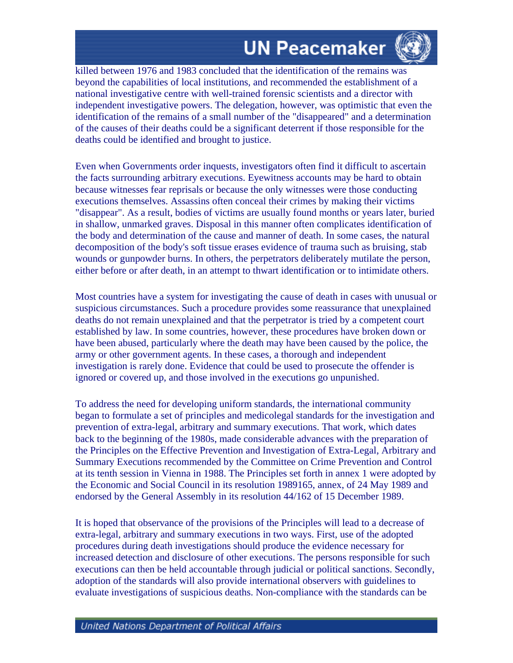

killed between 1976 and 1983 concluded that the identification of the remains was beyond the capabilities of local institutions, and recommended the establishment of a national investigative centre with well-trained forensic scientists and a director with independent investigative powers. The delegation, however, was optimistic that even the identification of the remains of a small number of the "disappeared" and a determination of the causes of their deaths could be a significant deterrent if those responsible for the deaths could be identified and brought to justice.

Even when Governments order inquests, investigators often find it difficult to ascertain the facts surrounding arbitrary executions. Eyewitness accounts may be hard to obtain because witnesses fear reprisals or because the only witnesses were those conducting executions themselves. Assassins often conceal their crimes by making their victims "disappear". As a result, bodies of victims are usually found months or years later, buried in shallow, unmarked graves. Disposal in this manner often complicates identification of the body and determination of the cause and manner of death. In some cases, the natural decomposition of the body's soft tissue erases evidence of trauma such as bruising, stab wounds or gunpowder burns. In others, the perpetrators deliberately mutilate the person, either before or after death, in an attempt to thwart identification or to intimidate others.

Most countries have a system for investigating the cause of death in cases with unusual or suspicious circumstances. Such a procedure provides some reassurance that unexplained deaths do not remain unexplained and that the perpetrator is tried by a competent court established by law. In some countries, however, these procedures have broken down or have been abused, particularly where the death may have been caused by the police, the army or other government agents. In these cases, a thorough and independent investigation is rarely done. Evidence that could be used to prosecute the offender is ignored or covered up, and those involved in the executions go unpunished.

To address the need for developing uniform standards, the international community began to formulate a set of principles and medicolegal standards for the investigation and prevention of extra-legal, arbitrary and summary executions. That work, which dates back to the beginning of the 1980s, made considerable advances with the preparation of the Principles on the Effective Prevention and Investigation of Extra-Legal, Arbitrary and Summary Executions recommended by the Committee on Crime Prevention and Control at its tenth session in Vienna in 1988. The Principles set forth in annex 1 were adopted by the Economic and Social Council in its resolution 1989165, annex, of 24 May 1989 and endorsed by the General Assembly in its resolution 44/162 of 15 December 1989.

It is hoped that observance of the provisions of the Principles will lead to a decrease of extra-legal, arbitrary and summary executions in two ways. First, use of the adopted procedures during death investigations should produce the evidence necessary for increased detection and disclosure of other executions. The persons responsible for such executions can then be held accountable through judicial or political sanctions. Secondly, adoption of the standards will also provide international observers with guidelines to evaluate investigations of suspicious deaths. Non-compliance with the standards can be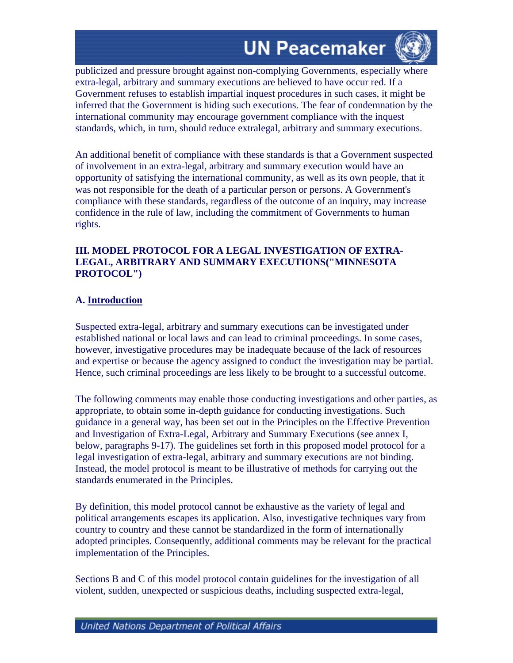

publicized and pressure brought against non-complying Governments, especially where extra-legal, arbitrary and summary executions are believed to have occur red. If a Government refuses to establish impartial inquest procedures in such cases, it might be inferred that the Government is hiding such executions. The fear of condemnation by the international community may encourage government compliance with the inquest standards, which, in turn, should reduce extralegal, arbitrary and summary executions.

An additional benefit of compliance with these standards is that a Government suspected of involvement in an extra-legal, arbitrary and summary execution would have an opportunity of satisfying the international community, as well as its own people, that it was not responsible for the death of a particular person or persons. A Government's compliance with these standards, regardless of the outcome of an inquiry, may increase confidence in the rule of law, including the commitment of Governments to human rights.

### **III. MODEL PROTOCOL FOR A LEGAL INVESTIGATION OF EXTRA-LEGAL, ARBITRARY AND SUMMARY EXECUTIONS("MINNESOTA PROTOCOL")**

### **A. Introduction**

Suspected extra-legal, arbitrary and summary executions can be investigated under established national or local laws and can lead to criminal proceedings. In some cases, however, investigative procedures may be inadequate because of the lack of resources and expertise or because the agency assigned to conduct the investigation may be partial. Hence, such criminal proceedings are less likely to be brought to a successful outcome.

The following comments may enable those conducting investigations and other parties, as appropriate, to obtain some in-depth guidance for conducting investigations. Such guidance in a general way, has been set out in the Principles on the Effective Prevention and Investigation of Extra-Legal, Arbitrary and Summary Executions (see annex I, below, paragraphs 9-17). The guidelines set forth in this proposed model protocol for a legal investigation of extra-legal, arbitrary and summary executions are not binding. Instead, the model protocol is meant to be illustrative of methods for carrying out the standards enumerated in the Principles.

By definition, this model protocol cannot be exhaustive as the variety of legal and political arrangements escapes its application. Also, investigative techniques vary from country to country and these cannot be standardized in the form of internationally adopted principles. Consequently, additional comments may be relevant for the practical implementation of the Principles.

Sections B and C of this model protocol contain guidelines for the investigation of all violent, sudden, unexpected or suspicious deaths, including suspected extra-legal,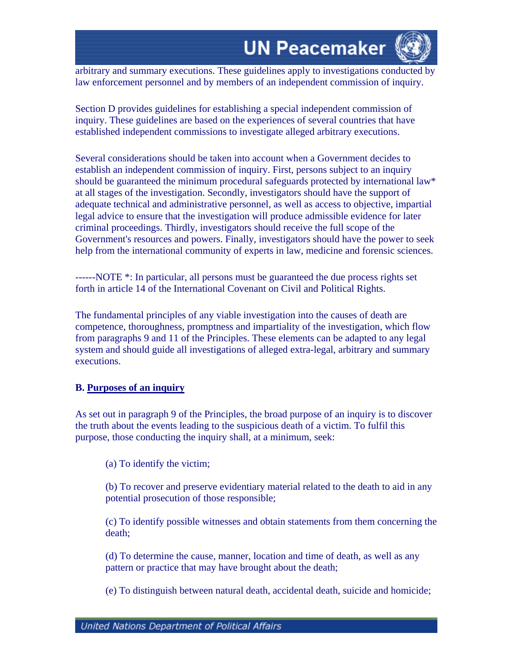

arbitrary and summary executions. These guidelines apply to investigations conducted by law enforcement personnel and by members of an independent commission of inquiry.

Section D provides guidelines for establishing a special independent commission of inquiry. These guidelines are based on the experiences of several countries that have established independent commissions to investigate alleged arbitrary executions.

Several considerations should be taken into account when a Government decides to establish an independent commission of inquiry. First, persons subject to an inquiry should be guaranteed the minimum procedural safeguards protected by international law\* at all stages of the investigation. Secondly, investigators should have the support of adequate technical and administrative personnel, as well as access to objective, impartial legal advice to ensure that the investigation will produce admissible evidence for later criminal proceedings. Thirdly, investigators should receive the full scope of the Government's resources and powers. Finally, investigators should have the power to seek help from the international community of experts in law, medicine and forensic sciences.

------NOTE \*: In particular, all persons must be guaranteed the due process rights set forth in article 14 of the International Covenant on Civil and Political Rights.

The fundamental principles of any viable investigation into the causes of death are competence, thoroughness, promptness and impartiality of the investigation, which flow from paragraphs 9 and 11 of the Principles. These elements can be adapted to any legal system and should guide all investigations of alleged extra-legal, arbitrary and summary executions.

### **B. Purposes of an inquiry**

As set out in paragraph 9 of the Principles, the broad purpose of an inquiry is to discover the truth about the events leading to the suspicious death of a victim. To fulfil this purpose, those conducting the inquiry shall, at a minimum, seek:

(a) To identify the victim;

(b) To recover and preserve evidentiary material related to the death to aid in any potential prosecution of those responsible;

(c) To identify possible witnesses and obtain statements from them concerning the death;

(d) To determine the cause, manner, location and time of death, as well as any pattern or practice that may have brought about the death;

(e) To distinguish between natural death, accidental death, suicide and homicide;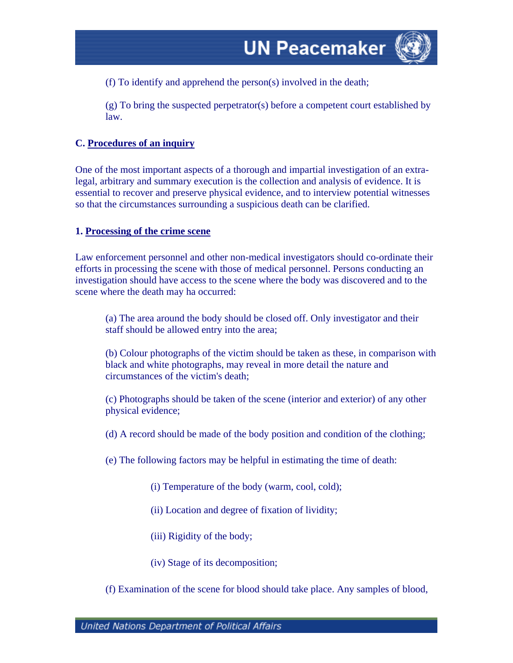(f) To identify and apprehend the person(s) involved in the death;

(g) To bring the suspected perpetrator(s) before a competent court established by law.

#### **C. Procedures of an inquiry**

One of the most important aspects of a thorough and impartial investigation of an extralegal, arbitrary and summary execution is the collection and analysis of evidence. It is essential to recover and preserve physical evidence, and to interview potential witnesses so that the circumstances surrounding a suspicious death can be clarified.

#### **1. Processing of the crime scene**

Law enforcement personnel and other non-medical investigators should co-ordinate their efforts in processing the scene with those of medical personnel. Persons conducting an investigation should have access to the scene where the body was discovered and to the scene where the death may ha occurred:

(a) The area around the body should be closed off. Only investigator and their staff should be allowed entry into the area;

(b) Colour photographs of the victim should be taken as these, in comparison with black and white photographs, may reveal in more detail the nature and circumstances of the victim's death;

(c) Photographs should be taken of the scene (interior and exterior) of any other physical evidence;

(d) A record should be made of the body position and condition of the clothing;

(e) The following factors may be helpful in estimating the time of death:

(i) Temperature of the body (warm, cool, cold);

(ii) Location and degree of fixation of lividity;

(iii) Rigidity of the body;

(iv) Stage of its decomposition;

(f) Examination of the scene for blood should take place. Any samples of blood,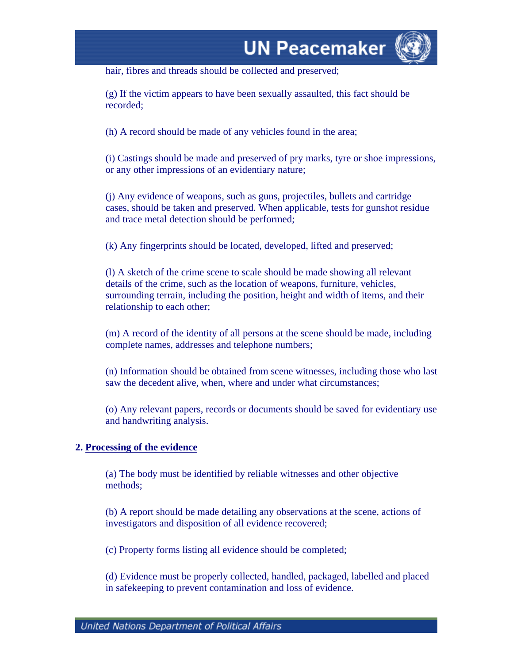

hair, fibres and threads should be collected and preserved;

(g) If the victim appears to have been sexually assaulted, this fact should be recorded;

(h) A record should be made of any vehicles found in the area;

(i) Castings should be made and preserved of pry marks, tyre or shoe impressions, or any other impressions of an evidentiary nature;

(j) Any evidence of weapons, such as guns, projectiles, bullets and cartridge cases, should be taken and preserved. When applicable, tests for gunshot residue and trace metal detection should be performed;

(k) Any fingerprints should be located, developed, lifted and preserved;

(l) A sketch of the crime scene to scale should be made showing all relevant details of the crime, such as the location of weapons, furniture, vehicles, surrounding terrain, including the position, height and width of items, and their relationship to each other;

(m) A record of the identity of all persons at the scene should be made, including complete names, addresses and telephone numbers;

(n) Information should be obtained from scene witnesses, including those who last saw the decedent alive, when, where and under what circumstances;

(o) Any relevant papers, records or documents should be saved for evidentiary use and handwriting analysis.

### **2. Processing of the evidence**

(a) The body must be identified by reliable witnesses and other objective methods;

(b) A report should be made detailing any observations at the scene, actions of investigators and disposition of all evidence recovered;

(c) Property forms listing all evidence should be completed;

(d) Evidence must be properly collected, handled, packaged, labelled and placed in safekeeping to prevent contamination and loss of evidence.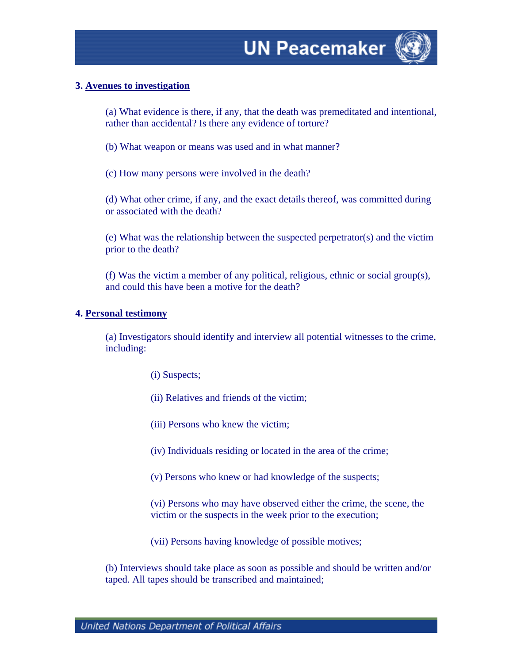

#### **3. Avenues to investigation**

(a) What evidence is there, if any, that the death was premeditated and intentional, rather than accidental? Is there any evidence of torture?

(b) What weapon or means was used and in what manner?

(c) How many persons were involved in the death?

(d) What other crime, if any, and the exact details thereof, was committed during or associated with the death?

(e) What was the relationship between the suspected perpetrator(s) and the victim prior to the death?

(f) Was the victim a member of any political, religious, ethnic or social group(s), and could this have been a motive for the death?

#### **4. Personal testimony**

(a) Investigators should identify and interview all potential witnesses to the crime, including:

- (i) Suspects;
- (ii) Relatives and friends of the victim;
- (iii) Persons who knew the victim;
- (iv) Individuals residing or located in the area of the crime;
- (v) Persons who knew or had knowledge of the suspects;

(vi) Persons who may have observed either the crime, the scene, the victim or the suspects in the week prior to the execution;

(vii) Persons having knowledge of possible motives;

(b) Interviews should take place as soon as possible and should be written and/or taped. All tapes should be transcribed and maintained;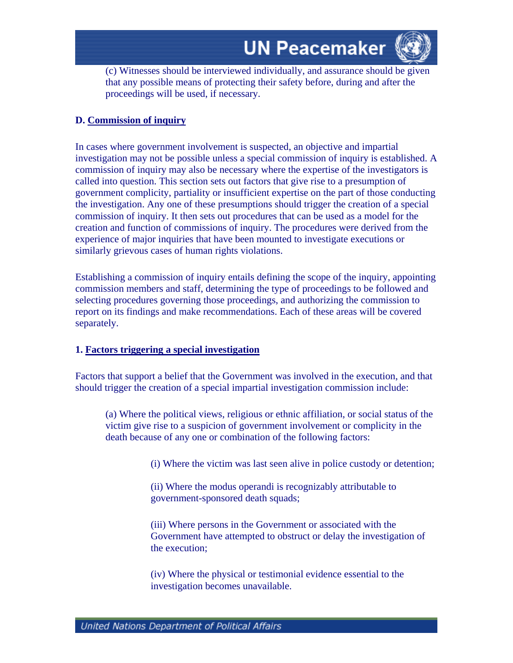

(c) Witnesses should be interviewed individually, and assurance should be given that any possible means of protecting their safety before, during and after the proceedings will be used, if necessary.

#### **D. Commission of inquiry**

In cases where government involvement is suspected, an objective and impartial investigation may not be possible unless a special commission of inquiry is established. A commission of inquiry may also be necessary where the expertise of the investigators is called into question. This section sets out factors that give rise to a presumption of government complicity, partiality or insufficient expertise on the part of those conducting the investigation. Any one of these presumptions should trigger the creation of a special commission of inquiry. It then sets out procedures that can be used as a model for the creation and function of commissions of inquiry. The procedures were derived from the experience of major inquiries that have been mounted to investigate executions or similarly grievous cases of human rights violations.

Establishing a commission of inquiry entails defining the scope of the inquiry, appointing commission members and staff, determining the type of proceedings to be followed and selecting procedures governing those proceedings, and authorizing the commission to report on its findings and make recommendations. Each of these areas will be covered separately.

### **1. Factors triggering a special investigation**

Factors that support a belief that the Government was involved in the execution, and that should trigger the creation of a special impartial investigation commission include:

(a) Where the political views, religious or ethnic affiliation, or social status of the victim give rise to a suspicion of government involvement or complicity in the death because of any one or combination of the following factors:

(i) Where the victim was last seen alive in police custody or detention;

(ii) Where the modus operandi is recognizably attributable to government-sponsored death squads;

(iii) Where persons in the Government or associated with the Government have attempted to obstruct or delay the investigation of the execution;

(iv) Where the physical or testimonial evidence essential to the investigation becomes unavailable.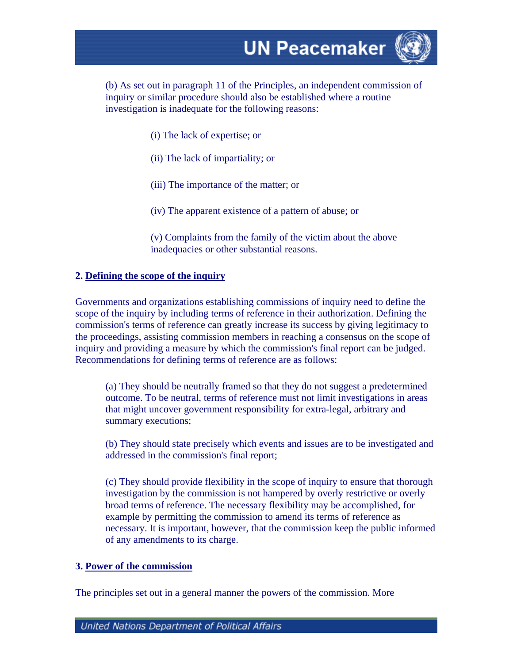(b) As set out in paragraph 11 of the Principles, an independent commission of inquiry or similar procedure should also be established where a routine investigation is inadequate for the following reasons:

- (i) The lack of expertise; or
- (ii) The lack of impartiality; or
- (iii) The importance of the matter; or
- (iv) The apparent existence of a pattern of abuse; or

(v) Complaints from the family of the victim about the above inadequacies or other substantial reasons.

#### **2. Defining the scope of the inquiry**

Governments and organizations establishing commissions of inquiry need to define the scope of the inquiry by including terms of reference in their authorization. Defining the commission's terms of reference can greatly increase its success by giving legitimacy to the proceedings, assisting commission members in reaching a consensus on the scope of inquiry and providing a measure by which the commission's final report can be judged. Recommendations for defining terms of reference are as follows:

(a) They should be neutrally framed so that they do not suggest a predetermined outcome. To be neutral, terms of reference must not limit investigations in areas that might uncover government responsibility for extra-legal, arbitrary and summary executions;

(b) They should state precisely which events and issues are to be investigated and addressed in the commission's final report;

(c) They should provide flexibility in the scope of inquiry to ensure that thorough investigation by the commission is not hampered by overly restrictive or overly broad terms of reference. The necessary flexibility may be accomplished, for example by permitting the commission to amend its terms of reference as necessary. It is important, however, that the commission keep the public informed of any amendments to its charge.

#### **3. Power of the commission**

The principles set out in a general manner the powers of the commission. More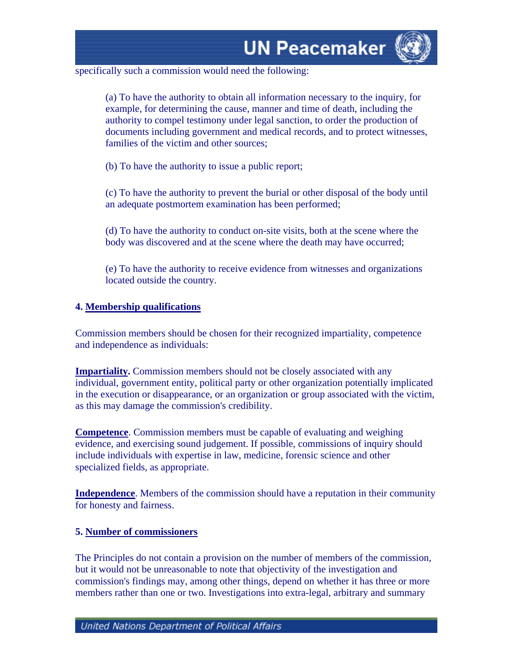

(a) To have the authority to obtain all information necessary to the inquiry, for example, for determining the cause, manner and time of death, including the authority to compel testimony under legal sanction, to order the production of documents including government and medical records, and to protect witnesses, families of the victim and other sources;

(b) To have the authority to issue a public report;

(c) To have the authority to prevent the burial or other disposal of the body until an adequate postmortem examination has been performed;

(d) To have the authority to conduct on-site visits, both at the scene where the body was discovered and at the scene where the death may have occurred;

(e) To have the authority to receive evidence from witnesses and organizations located outside the country.

#### **4. Membership qualifications**

Commission members should be chosen for their recognized impartiality, competence and independence as individuals:

**Impartiality.** Commission members should not be closely associated with any individual, government entity, political party or other organization potentially implicated in the execution or disappearance, or an organization or group associated with the victim, as this may damage the commission's credibility.

**Competence**. Commission members must be capable of evaluating and weighing evidence, and exercising sound judgement. If possible, commissions of inquiry should include individuals with expertise in law, medicine, forensic science and other specialized fields, as appropriate.

**Independence**. Members of the commission should have a reputation in their community for honesty and fairness.

### **5. Number of commissioners**

The Principles do not contain a provision on the number of members of the commission, but it would not be unreasonable to note that objectivity of the investigation and commission's findings may, among other things, depend on whether it has three or more members rather than one or two. Investigations into extra-legal, arbitrary and summary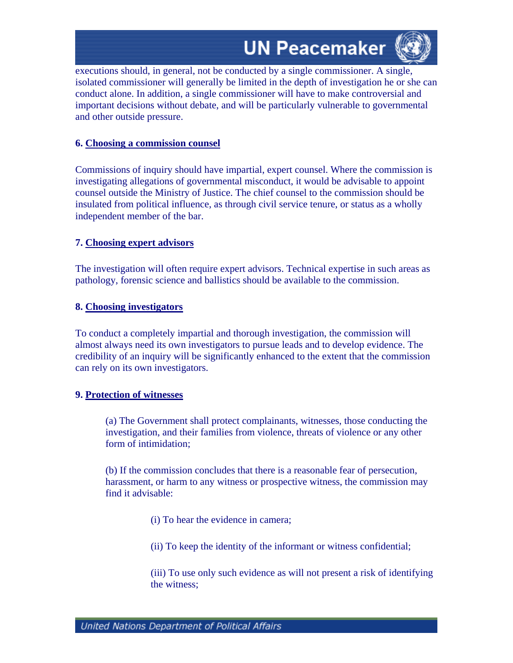

executions should, in general, not be conducted by a single commissioner. A single, isolated commissioner will generally be limited in the depth of investigation he or she can conduct alone. In addition, a single commissioner will have to make controversial and important decisions without debate, and will be particularly vulnerable to governmental and other outside pressure.

#### **6. Choosing a commission counsel**

Commissions of inquiry should have impartial, expert counsel. Where the commission is investigating allegations of governmental misconduct, it would be advisable to appoint counsel outside the Ministry of Justice. The chief counsel to the commission should be insulated from political influence, as through civil service tenure, or status as a wholly independent member of the bar.

#### **7. Choosing expert advisors**

The investigation will often require expert advisors. Technical expertise in such areas as pathology, forensic science and ballistics should be available to the commission.

#### **8. Choosing investigators**

To conduct a completely impartial and thorough investigation, the commission will almost always need its own investigators to pursue leads and to develop evidence. The credibility of an inquiry will be significantly enhanced to the extent that the commission can rely on its own investigators.

#### **9. Protection of witnesses**

(a) The Government shall protect complainants, witnesses, those conducting the investigation, and their families from violence, threats of violence or any other form of intimidation;

(b) If the commission concludes that there is a reasonable fear of persecution, harassment, or harm to any witness or prospective witness, the commission may find it advisable:

(i) To hear the evidence in camera;

(ii) To keep the identity of the informant or witness confidential;

(iii) To use only such evidence as will not present a risk of identifying the witness;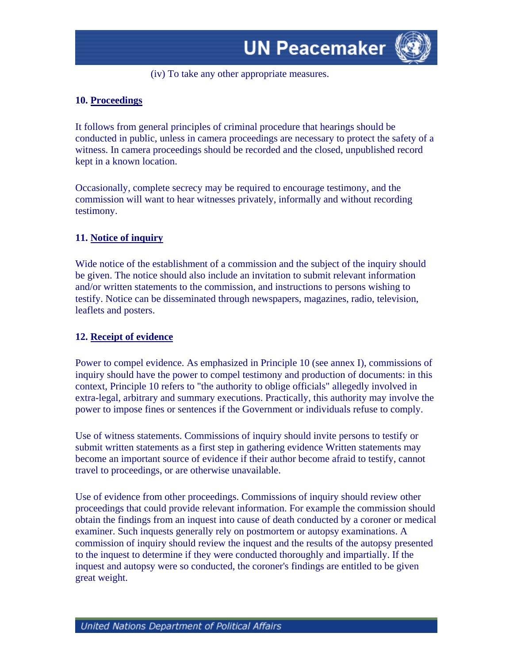

(iv) To take any other appropriate measures.

#### **10. Proceedings**

It follows from general principles of criminal procedure that hearings should be conducted in public, unless in camera proceedings are necessary to protect the safety of a witness. In camera proceedings should be recorded and the closed, unpublished record kept in a known location.

Occasionally, complete secrecy may be required to encourage testimony, and the commission will want to hear witnesses privately, informally and without recording testimony.

#### **11. Notice of inquiry**

Wide notice of the establishment of a commission and the subject of the inquiry should be given. The notice should also include an invitation to submit relevant information and/or written statements to the commission, and instructions to persons wishing to testify. Notice can be disseminated through newspapers, magazines, radio, television, leaflets and posters.

#### **12. Receipt of evidence**

Power to compel evidence. As emphasized in Principle 10 (see annex I), commissions of inquiry should have the power to compel testimony and production of documents: in this context, Principle 10 refers to "the authority to oblige officials" allegedly involved in extra-legal, arbitrary and summary executions. Practically, this authority may involve the power to impose fines or sentences if the Government or individuals refuse to comply.

Use of witness statements. Commissions of inquiry should invite persons to testify or submit written statements as a first step in gathering evidence Written statements may become an important source of evidence if their author become afraid to testify, cannot travel to proceedings, or are otherwise unavailable.

Use of evidence from other proceedings. Commissions of inquiry should review other proceedings that could provide relevant information. For example the commission should obtain the findings from an inquest into cause of death conducted by a coroner or medical examiner. Such inquests generally rely on postmortem or autopsy examinations. A commission of inquiry should review the inquest and the results of the autopsy presented to the inquest to determine if they were conducted thoroughly and impartially. If the inquest and autopsy were so conducted, the coroner's findings are entitled to be given great weight.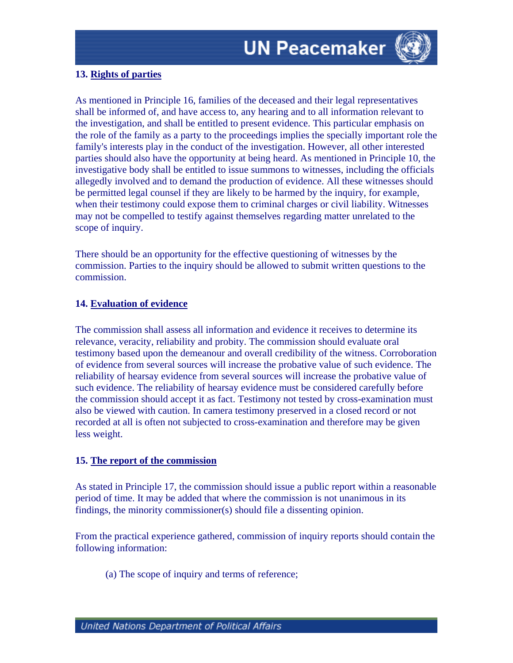

As mentioned in Principle 16, families of the deceased and their legal representatives shall be informed of, and have access to, any hearing and to all information relevant to the investigation, and shall be entitled to present evidence. This particular emphasis on the role of the family as a party to the proceedings implies the specially important role the family's interests play in the conduct of the investigation. However, all other interested parties should also have the opportunity at being heard. As mentioned in Principle 10, the investigative body shall be entitled to issue summons to witnesses, including the officials allegedly involved and to demand the production of evidence. All these witnesses should be permitted legal counsel if they are likely to be harmed by the inquiry, for example, when their testimony could expose them to criminal charges or civil liability. Witnesses may not be compelled to testify against themselves regarding matter unrelated to the scope of inquiry.

There should be an opportunity for the effective questioning of witnesses by the commission. Parties to the inquiry should be allowed to submit written questions to the commission.

### **14. Evaluation of evidence**

The commission shall assess all information and evidence it receives to determine its relevance, veracity, reliability and probity. The commission should evaluate oral testimony based upon the demeanour and overall credibility of the witness. Corroboration of evidence from several sources will increase the probative value of such evidence. The reliability of hearsay evidence from several sources will increase the probative value of such evidence. The reliability of hearsay evidence must be considered carefully before the commission should accept it as fact. Testimony not tested by cross-examination must also be viewed with caution. In camera testimony preserved in a closed record or not recorded at all is often not subjected to cross-examination and therefore may be given less weight.

#### **15. The report of the commission**

As stated in Principle 17, the commission should issue a public report within a reasonable period of time. It may be added that where the commission is not unanimous in its findings, the minority commissioner(s) should file a dissenting opinion.

From the practical experience gathered, commission of inquiry reports should contain the following information:

(a) The scope of inquiry and terms of reference;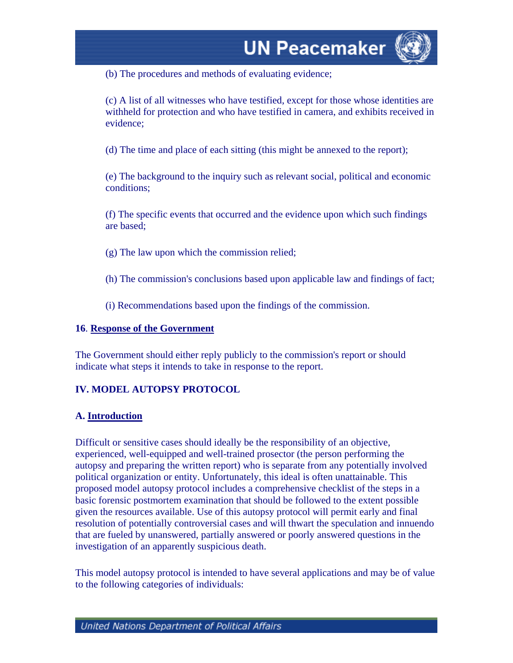

(b) The procedures and methods of evaluating evidence;

(c) A list of all witnesses who have testified, except for those whose identities are withheld for protection and who have testified in camera, and exhibits received in evidence;

(d) The time and place of each sitting (this might be annexed to the report);

(e) The background to the inquiry such as relevant social, political and economic conditions;

(f) The specific events that occurred and the evidence upon which such findings are based;

(g) The law upon which the commission relied;

- (h) The commission's conclusions based upon applicable law and findings of fact;
- (i) Recommendations based upon the findings of the commission.

#### **16**. **Response of the Government**

The Government should either reply publicly to the commission's report or should indicate what steps it intends to take in response to the report.

## **IV. MODEL AUTOPSY PROTOCOL**

### **A. Introduction**

Difficult or sensitive cases should ideally be the responsibility of an objective, experienced, well-equipped and well-trained prosector (the person performing the autopsy and preparing the written report) who is separate from any potentially involved political organization or entity. Unfortunately, this ideal is often unattainable. This proposed model autopsy protocol includes a comprehensive checklist of the steps in a basic forensic postmortem examination that should be followed to the extent possible given the resources available. Use of this autopsy protocol will permit early and final resolution of potentially controversial cases and will thwart the speculation and innuendo that are fueled by unanswered, partially answered or poorly answered questions in the investigation of an apparently suspicious death.

This model autopsy protocol is intended to have several applications and may be of value to the following categories of individuals: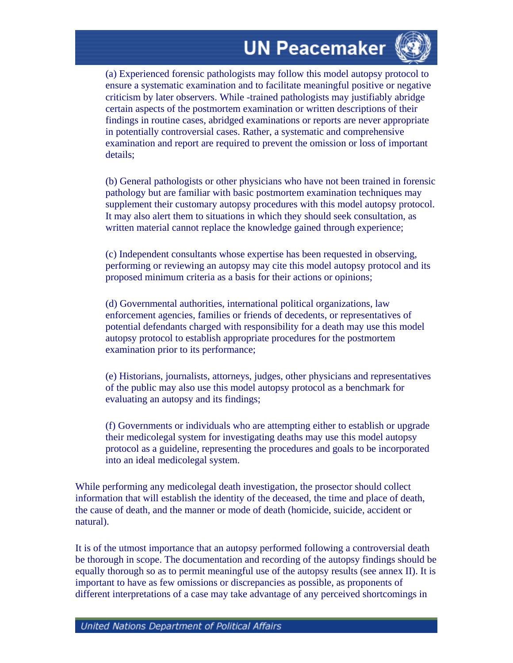

(a) Experienced forensic pathologists may follow this model autopsy protocol to ensure a systematic examination and to facilitate meaningful positive or negative criticism by later observers. While -trained pathologists may justifiably abridge certain aspects of the postmortem examination or written descriptions of their findings in routine cases, abridged examinations or reports are never appropriate in potentially controversial cases. Rather, a systematic and comprehensive examination and report are required to prevent the omission or loss of important details;

(b) General pathologists or other physicians who have not been trained in forensic pathology but are familiar with basic postmortem examination techniques may supplement their customary autopsy procedures with this model autopsy protocol. It may also alert them to situations in which they should seek consultation, as written material cannot replace the knowledge gained through experience;

(c) Independent consultants whose expertise has been requested in observing, performing or reviewing an autopsy may cite this model autopsy protocol and its proposed minimum criteria as a basis for their actions or opinions;

(d) Governmental authorities, international political organizations, law enforcement agencies, families or friends of decedents, or representatives of potential defendants charged with responsibility for a death may use this model autopsy protocol to establish appropriate procedures for the postmortem examination prior to its performance;

(e) Historians, journalists, attorneys, judges, other physicians and representatives of the public may also use this model autopsy protocol as a benchmark for evaluating an autopsy and its findings;

(f) Governments or individuals who are attempting either to establish or upgrade their medicolegal system for investigating deaths may use this model autopsy protocol as a guideline, representing the procedures and goals to be incorporated into an ideal medicolegal system.

While performing any medicolegal death investigation, the prosector should collect information that will establish the identity of the deceased, the time and place of death, the cause of death, and the manner or mode of death (homicide, suicide, accident or natural).

It is of the utmost importance that an autopsy performed following a controversial death be thorough in scope. The documentation and recording of the autopsy findings should be equally thorough so as to permit meaningful use of the autopsy results (see annex II). It is important to have as few omissions or discrepancies as possible, as proponents of different interpretations of a case may take advantage of any perceived shortcomings in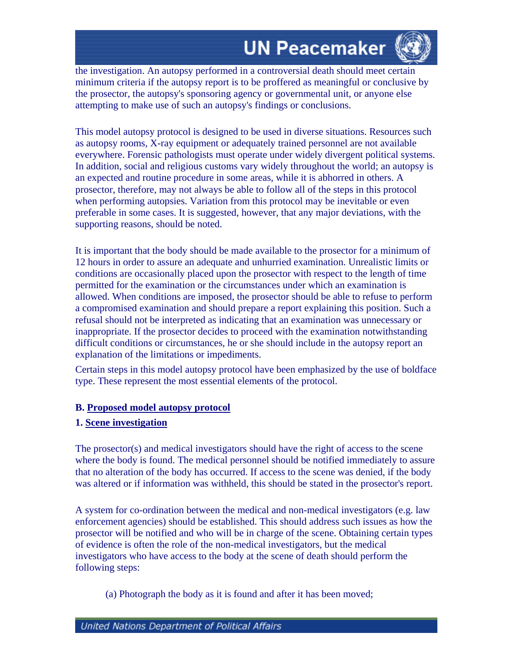

the investigation. An autopsy performed in a controversial death should meet certain minimum criteria if the autopsy report is to be proffered as meaningful or conclusive by the prosector, the autopsy's sponsoring agency or governmental unit, or anyone else attempting to make use of such an autopsy's findings or conclusions.

This model autopsy protocol is designed to be used in diverse situations. Resources such as autopsy rooms, X-ray equipment or adequately trained personnel are not available everywhere. Forensic pathologists must operate under widely divergent political systems. In addition, social and religious customs vary widely throughout the world; an autopsy is an expected and routine procedure in some areas, while it is abhorred in others. A prosector, therefore, may not always be able to follow all of the steps in this protocol when performing autopsies. Variation from this protocol may be inevitable or even preferable in some cases. It is suggested, however, that any major deviations, with the supporting reasons, should be noted.

It is important that the body should be made available to the prosector for a minimum of 12 hours in order to assure an adequate and unhurried examination. Unrealistic limits or conditions are occasionally placed upon the prosector with respect to the length of time permitted for the examination or the circumstances under which an examination is allowed. When conditions are imposed, the prosector should be able to refuse to perform a compromised examination and should prepare a report explaining this position. Such a refusal should not be interpreted as indicating that an examination was unnecessary or inappropriate. If the prosector decides to proceed with the examination notwithstanding difficult conditions or circumstances, he or she should include in the autopsy report an explanation of the limitations or impediments.

Certain steps in this model autopsy protocol have been emphasized by the use of boldface type. These represent the most essential elements of the protocol.

#### **B. Proposed model autopsy protocol**

#### **1. Scene investigation**

The prosector(s) and medical investigators should have the right of access to the scene where the body is found. The medical personnel should be notified immediately to assure that no alteration of the body has occurred. If access to the scene was denied, if the body was altered or if information was withheld, this should be stated in the prosector's report.

A system for co-ordination between the medical and non-medical investigators (e.g. law enforcement agencies) should be established. This should address such issues as how the prosector will be notified and who will be in charge of the scene. Obtaining certain types of evidence is often the role of the non-medical investigators, but the medical investigators who have access to the body at the scene of death should perform the following steps:

(a) Photograph the body as it is found and after it has been moved;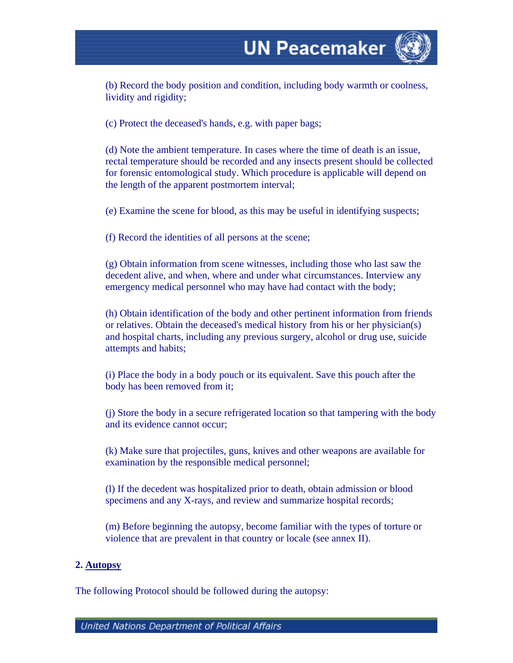

(c) Protect the deceased's hands, e.g. with paper bags;

(d) Note the ambient temperature. In cases where the time of death is an issue, rectal temperature should be recorded and any insects present should be collected for forensic entomological study. Which procedure is applicable will depend on the length of the apparent postmortem interval;

(e) Examine the scene for blood, as this may be useful in identifying suspects;

(f) Record the identities of all persons at the scene;

(g) Obtain information from scene witnesses, including those who last saw the decedent alive, and when, where and under what circumstances. Interview any emergency medical personnel who may have had contact with the body;

(h) Obtain identification of the body and other pertinent information from friends or relatives. Obtain the deceased's medical history from his or her physician(s) and hospital charts, including any previous surgery, alcohol or drug use, suicide attempts and habits;

(i) Place the body in a body pouch or its equivalent. Save this pouch after the body has been removed from it;

(j) Store the body in a secure refrigerated location so that tampering with the body and its evidence cannot occur;

(k) Make sure that projectiles, guns, knives and other weapons are available for examination by the responsible medical personnel;

(l) If the decedent was hospitalized prior to death, obtain admission or blood specimens and any X-rays, and review and summarize hospital records;

(m) Before beginning the autopsy, become familiar with the types of torture or violence that are prevalent in that country or locale (see annex II).

#### **2. Autopsy**

The following Protocol should be followed during the autopsy:

#### United Nations Department of Political Affairs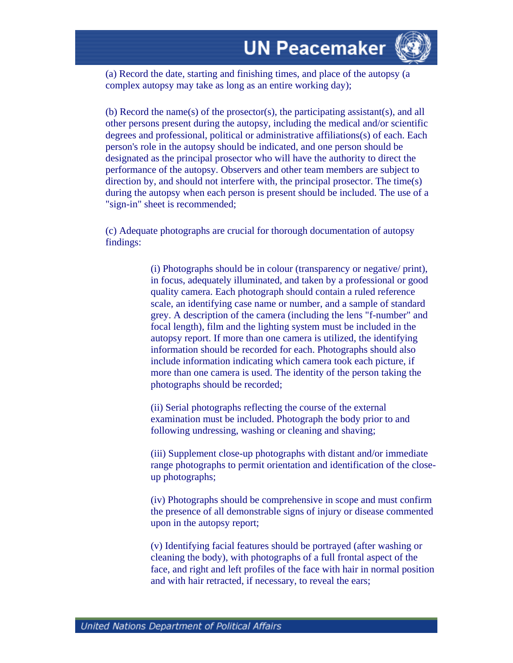(a) Record the date, starting and finishing times, and place of the autopsy (a complex autopsy may take as long as an entire working day);

(b) Record the name(s) of the prosector(s), the participating assistant(s), and all other persons present during the autopsy, including the medical and/or scientific degrees and professional, political or administrative affiliations(s) of each. Each person's role in the autopsy should be indicated, and one person should be designated as the principal prosector who will have the authority to direct the performance of the autopsy. Observers and other team members are subject to direction by, and should not interfere with, the principal prosector. The time(s) during the autopsy when each person is present should be included. The use of a "sign-in" sheet is recommended;

(c) Adequate photographs are crucial for thorough documentation of autopsy findings:

> (i) Photographs should be in colour (transparency or negative/ print), in focus, adequately illuminated, and taken by a professional or good quality camera. Each photograph should contain a ruled reference scale, an identifying case name or number, and a sample of standard grey. A description of the camera (including the lens "f-number" and focal length), film and the lighting system must be included in the autopsy report. If more than one camera is utilized, the identifying information should be recorded for each. Photographs should also include information indicating which camera took each picture, if more than one camera is used. The identity of the person taking the photographs should be recorded;

(ii) Serial photographs reflecting the course of the external examination must be included. Photograph the body prior to and following undressing, washing or cleaning and shaving;

(iii) Supplement close-up photographs with distant and/or immediate range photographs to permit orientation and identification of the closeup photographs;

(iv) Photographs should be comprehensive in scope and must confirm the presence of all demonstrable signs of injury or disease commented upon in the autopsy report;

(v) Identifying facial features should be portrayed (after washing or cleaning the body), with photographs of a full frontal aspect of the face, and right and left profiles of the face with hair in normal position and with hair retracted, if necessary, to reveal the ears;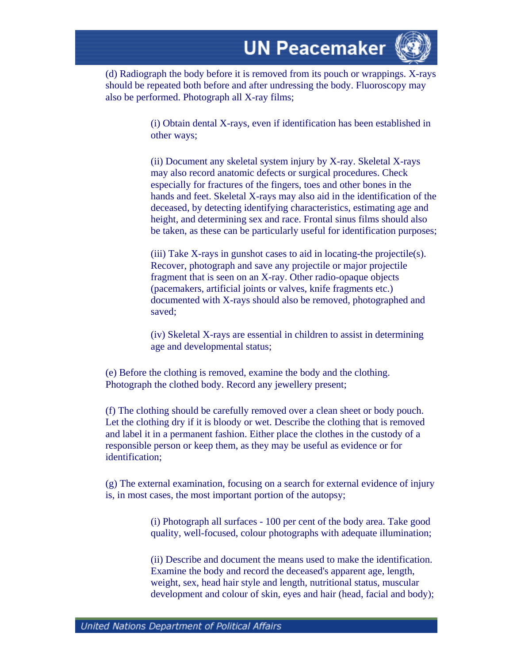

(d) Radiograph the body before it is removed from its pouch or wrappings. X-rays should be repeated both before and after undressing the body. Fluoroscopy may also be performed. Photograph all X-ray films;

> (i) Obtain dental X-rays, even if identification has been established in other ways;

(ii) Document any skeletal system injury by X-ray. Skeletal X-rays may also record anatomic defects or surgical procedures. Check especially for fractures of the fingers, toes and other bones in the hands and feet. Skeletal X-rays may also aid in the identification of the deceased, by detecting identifying characteristics, estimating age and height, and determining sex and race. Frontal sinus films should also be taken, as these can be particularly useful for identification purposes;

(iii) Take X-rays in gunshot cases to aid in locating-the projectile(s). Recover, photograph and save any projectile or major projectile fragment that is seen on an X-ray. Other radio-opaque objects (pacemakers, artificial joints or valves, knife fragments etc.) documented with X-rays should also be removed, photographed and saved;

(iv) Skeletal X-rays are essential in children to assist in determining age and developmental status;

(e) Before the clothing is removed, examine the body and the clothing. Photograph the clothed body. Record any jewellery present;

(f) The clothing should be carefully removed over a clean sheet or body pouch. Let the clothing dry if it is bloody or wet. Describe the clothing that is removed and label it in a permanent fashion. Either place the clothes in the custody of a responsible person or keep them, as they may be useful as evidence or for identification;

(g) The external examination, focusing on a search for external evidence of injury is, in most cases, the most important portion of the autopsy;

> (i) Photograph all surfaces - 100 per cent of the body area. Take good quality, well-focused, colour photographs with adequate illumination;

> (ii) Describe and document the means used to make the identification. Examine the body and record the deceased's apparent age, length, weight, sex, head hair style and length, nutritional status, muscular development and colour of skin, eyes and hair (head, facial and body);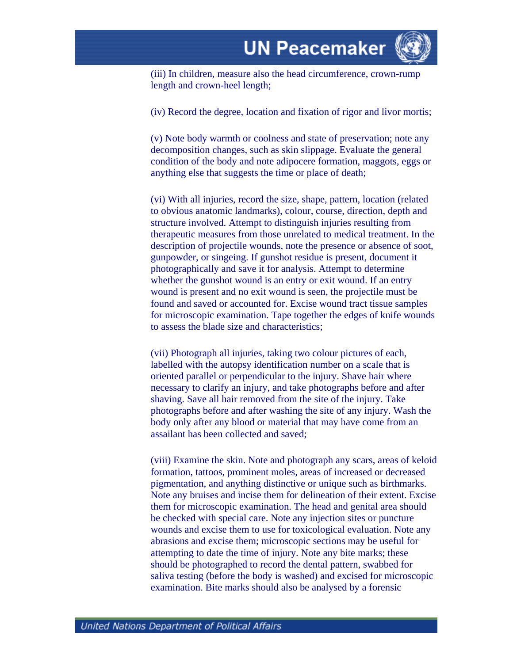

(iv) Record the degree, location and fixation of rigor and livor mortis;

(v) Note body warmth or coolness and state of preservation; note any decomposition changes, such as skin slippage. Evaluate the general condition of the body and note adipocere formation, maggots, eggs or anything else that suggests the time or place of death;

(vi) With all injuries, record the size, shape, pattern, location (related to obvious anatomic landmarks), colour, course, direction, depth and structure involved. Attempt to distinguish injuries resulting from therapeutic measures from those unrelated to medical treatment. In the description of projectile wounds, note the presence or absence of soot, gunpowder, or singeing. If gunshot residue is present, document it photographically and save it for analysis. Attempt to determine whether the gunshot wound is an entry or exit wound. If an entry wound is present and no exit wound is seen, the projectile must be found and saved or accounted for. Excise wound tract tissue samples for microscopic examination. Tape together the edges of knife wounds to assess the blade size and characteristics;

(vii) Photograph all injuries, taking two colour pictures of each, labelled with the autopsy identification number on a scale that is oriented parallel or perpendicular to the injury. Shave hair where necessary to clarify an injury, and take photographs before and after shaving. Save all hair removed from the site of the injury. Take photographs before and after washing the site of any injury. Wash the body only after any blood or material that may have come from an assailant has been collected and saved;

(viii) Examine the skin. Note and photograph any scars, areas of keloid formation, tattoos, prominent moles, areas of increased or decreased pigmentation, and anything distinctive or unique such as birthmarks. Note any bruises and incise them for delineation of their extent. Excise them for microscopic examination. The head and genital area should be checked with special care. Note any injection sites or puncture wounds and excise them to use for toxicological evaluation. Note any abrasions and excise them; microscopic sections may be useful for attempting to date the time of injury. Note any bite marks; these should be photographed to record the dental pattern, swabbed for saliva testing (before the body is washed) and excised for microscopic examination. Bite marks should also be analysed by a forensic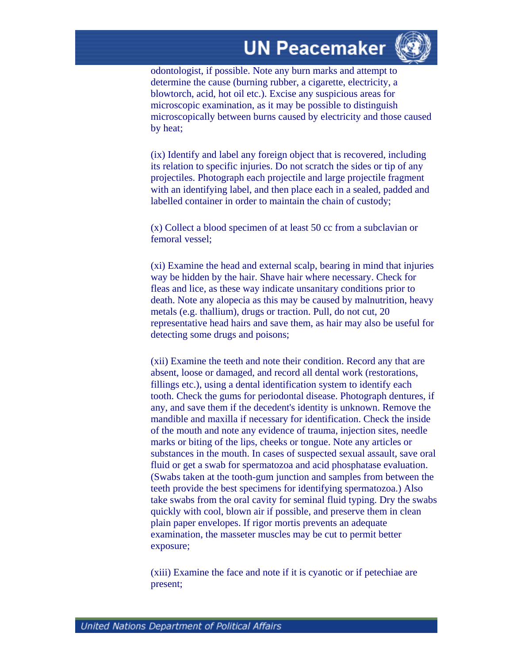

odontologist, if possible. Note any burn marks and attempt to determine the cause (burning rubber, a cigarette, electricity, a blowtorch, acid, hot oil etc.). Excise any suspicious areas for microscopic examination, as it may be possible to distinguish microscopically between burns caused by electricity and those caused by heat;

(ix) Identify and label any foreign object that is recovered, including its relation to specific injuries. Do not scratch the sides or tip of any projectiles. Photograph each projectile and large projectile fragment with an identifying label, and then place each in a sealed, padded and labelled container in order to maintain the chain of custody;

(x) Collect a blood specimen of at least 50 cc from a subclavian or femoral vessel;

(xi) Examine the head and external scalp, bearing in mind that injuries way be hidden by the hair. Shave hair where necessary. Check for fleas and lice, as these way indicate unsanitary conditions prior to death. Note any alopecia as this may be caused by malnutrition, heavy metals (e.g. thallium), drugs or traction. Pull, do not cut, 20 representative head hairs and save them, as hair may also be useful for detecting some drugs and poisons;

(xii) Examine the teeth and note their condition. Record any that are absent, loose or damaged, and record all dental work (restorations, fillings etc.), using a dental identification system to identify each tooth. Check the gums for periodontal disease. Photograph dentures, if any, and save them if the decedent's identity is unknown. Remove the mandible and maxilla if necessary for identification. Check the inside of the mouth and note any evidence of trauma, injection sites, needle marks or biting of the lips, cheeks or tongue. Note any articles or substances in the mouth. In cases of suspected sexual assault, save oral fluid or get a swab for spermatozoa and acid phosphatase evaluation. (Swabs taken at the tooth-gum junction and samples from between the teeth provide the best specimens for identifying spermatozoa.) Also take swabs from the oral cavity for seminal fluid typing. Dry the swabs quickly with cool, blown air if possible, and preserve them in clean plain paper envelopes. If rigor mortis prevents an adequate examination, the masseter muscles may be cut to permit better exposure;

(xiii) Examine the face and note if it is cyanotic or if petechiae are present;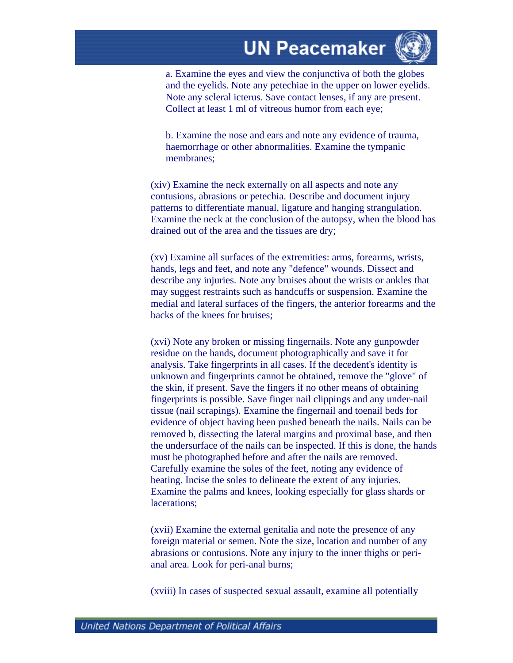

a. Examine the eyes and view the conjunctiva of both the globes and the eyelids. Note any petechiae in the upper on lower eyelids. Note any scleral icterus. Save contact lenses, if any are present. Collect at least 1 ml of vitreous humor from each eye;

b. Examine the nose and ears and note any evidence of trauma, haemorrhage or other abnormalities. Examine the tympanic membranes;

(xiv) Examine the neck externally on all aspects and note any contusions, abrasions or petechia. Describe and document injury patterns to differentiate manual, ligature and hanging strangulation. Examine the neck at the conclusion of the autopsy, when the blood has drained out of the area and the tissues are dry;

(xv) Examine all surfaces of the extremities: arms, forearms, wrists, hands, legs and feet, and note any "defence" wounds. Dissect and describe any injuries. Note any bruises about the wrists or ankles that may suggest restraints such as handcuffs or suspension. Examine the medial and lateral surfaces of the fingers, the anterior forearms and the backs of the knees for bruises;

(xvi) Note any broken or missing fingernails. Note any gunpowder residue on the hands, document photographically and save it for analysis. Take fingerprints in all cases. If the decedent's identity is unknown and fingerprints cannot be obtained, remove the "glove" of the skin, if present. Save the fingers if no other means of obtaining fingerprints is possible. Save finger nail clippings and any under-nail tissue (nail scrapings). Examine the fingernail and toenail beds for evidence of object having been pushed beneath the nails. Nails can be removed b, dissecting the lateral margins and proximal base, and then the undersurface of the nails can be inspected. If this is done, the hands must be photographed before and after the nails are removed. Carefully examine the soles of the feet, noting any evidence of beating. Incise the soles to delineate the extent of any injuries. Examine the palms and knees, looking especially for glass shards or lacerations;

(xvii) Examine the external genitalia and note the presence of any foreign material or semen. Note the size, location and number of any abrasions or contusions. Note any injury to the inner thighs or perianal area. Look for peri-anal burns;

(xviii) In cases of suspected sexual assault, examine all potentially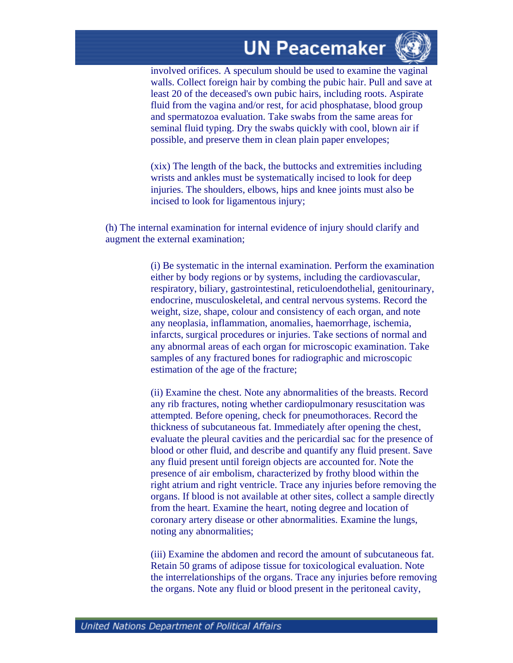

involved orifices. A speculum should be used to examine the vaginal walls. Collect foreign hair by combing the pubic hair. Pull and save at least 20 of the deceased's own pubic hairs, including roots. Aspirate fluid from the vagina and/or rest, for acid phosphatase, blood group and spermatozoa evaluation. Take swabs from the same areas for seminal fluid typing. Dry the swabs quickly with cool, blown air if possible, and preserve them in clean plain paper envelopes;

(xix) The length of the back, the buttocks and extremities including wrists and ankles must be systematically incised to look for deep injuries. The shoulders, elbows, hips and knee joints must also be incised to look for ligamentous injury;

(h) The internal examination for internal evidence of injury should clarify and augment the external examination;

> (i) Be systematic in the internal examination. Perform the examination either by body regions or by systems, including the cardiovascular, respiratory, biliary, gastrointestinal, reticuloendothelial, genitourinary, endocrine, musculoskeletal, and central nervous systems. Record the weight, size, shape, colour and consistency of each organ, and note any neoplasia, inflammation, anomalies, haemorrhage, ischemia, infarcts, surgical procedures or injuries. Take sections of normal and any abnormal areas of each organ for microscopic examination. Take samples of any fractured bones for radiographic and microscopic estimation of the age of the fracture;

> (ii) Examine the chest. Note any abnormalities of the breasts. Record any rib fractures, noting whether cardiopulmonary resuscitation was attempted. Before opening, check for pneumothoraces. Record the thickness of subcutaneous fat. Immediately after opening the chest, evaluate the pleural cavities and the pericardial sac for the presence of blood or other fluid, and describe and quantify any fluid present. Save any fluid present until foreign objects are accounted for. Note the presence of air embolism, characterized by frothy blood within the right atrium and right ventricle. Trace any injuries before removing the organs. If blood is not available at other sites, collect a sample directly from the heart. Examine the heart, noting degree and location of coronary artery disease or other abnormalities. Examine the lungs, noting any abnormalities;

> (iii) Examine the abdomen and record the amount of subcutaneous fat. Retain 50 grams of adipose tissue for toxicological evaluation. Note the interrelationships of the organs. Trace any injuries before removing the organs. Note any fluid or blood present in the peritoneal cavity,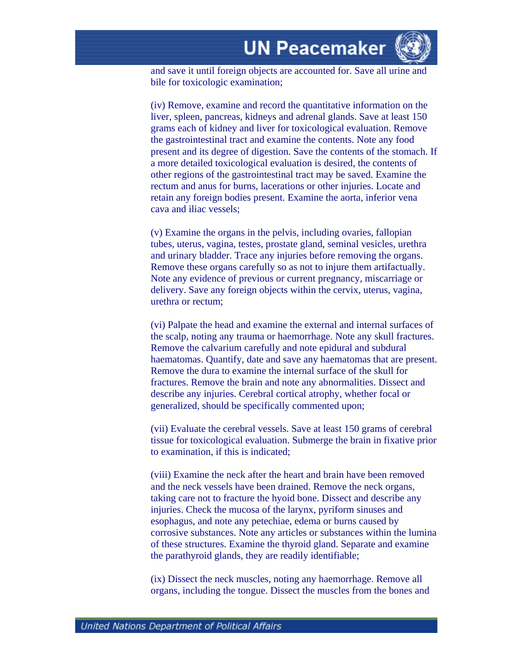

and save it until foreign objects are accounted for. Save all urine and bile for toxicologic examination;

(iv) Remove, examine and record the quantitative information on the liver, spleen, pancreas, kidneys and adrenal glands. Save at least 150 grams each of kidney and liver for toxicological evaluation. Remove the gastrointestinal tract and examine the contents. Note any food present and its degree of digestion. Save the contents of the stomach. If a more detailed toxicological evaluation is desired, the contents of other regions of the gastrointestinal tract may be saved. Examine the rectum and anus for burns, lacerations or other injuries. Locate and retain any foreign bodies present. Examine the aorta, inferior vena cava and iliac vessels;

(v) Examine the organs in the pelvis, including ovaries, fallopian tubes, uterus, vagina, testes, prostate gland, seminal vesicles, urethra and urinary bladder. Trace any injuries before removing the organs. Remove these organs carefully so as not to injure them artifactually. Note any evidence of previous or current pregnancy, miscarriage or delivery. Save any foreign objects within the cervix, uterus, vagina, urethra or rectum;

(vi) Palpate the head and examine the external and internal surfaces of the scalp, noting any trauma or haemorrhage. Note any skull fractures. Remove the calvarium carefully and note epidural and subdural haematomas. Quantify, date and save any haematomas that are present. Remove the dura to examine the internal surface of the skull for fractures. Remove the brain and note any abnormalities. Dissect and describe any injuries. Cerebral cortical atrophy, whether focal or generalized, should be specifically commented upon;

(vii) Evaluate the cerebral vessels. Save at least 150 grams of cerebral tissue for toxicological evaluation. Submerge the brain in fixative prior to examination, if this is indicated;

(viii) Examine the neck after the heart and brain have been removed and the neck vessels have been drained. Remove the neck organs, taking care not to fracture the hyoid bone. Dissect and describe any injuries. Check the mucosa of the larynx, pyriform sinuses and esophagus, and note any petechiae, edema or burns caused by corrosive substances. Note any articles or substances within the lumina of these structures. Examine the thyroid gland. Separate and examine the parathyroid glands, they are readily identifiable;

(ix) Dissect the neck muscles, noting any haemorrhage. Remove all organs, including the tongue. Dissect the muscles from the bones and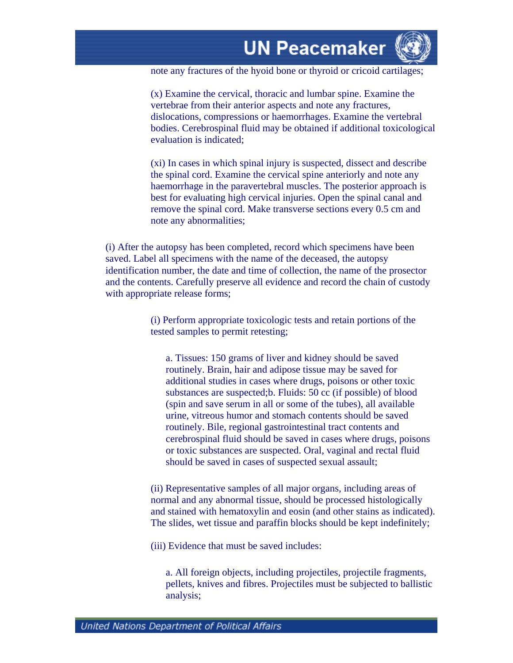note any fractures of the hyoid bone or thyroid or cricoid cartilages;

(x) Examine the cervical, thoracic and lumbar spine. Examine the vertebrae from their anterior aspects and note any fractures, dislocations, compressions or haemorrhages. Examine the vertebral bodies. Cerebrospinal fluid may be obtained if additional toxicological evaluation is indicated;

(xi) In cases in which spinal injury is suspected, dissect and describe the spinal cord. Examine the cervical spine anteriorly and note any haemorrhage in the paravertebral muscles. The posterior approach is best for evaluating high cervical injuries. Open the spinal canal and remove the spinal cord. Make transverse sections every 0.5 cm and note any abnormalities;

(i) After the autopsy has been completed, record which specimens have been saved. Label all specimens with the name of the deceased, the autopsy identification number, the date and time of collection, the name of the prosector and the contents. Carefully preserve all evidence and record the chain of custody with appropriate release forms;

> (i) Perform appropriate toxicologic tests and retain portions of the tested samples to permit retesting;

a. Tissues: 150 grams of liver and kidney should be saved routinely. Brain, hair and adipose tissue may be saved for additional studies in cases where drugs, poisons or other toxic substances are suspected;b. Fluids: 50 cc (if possible) of blood (spin and save serum in all or some of the tubes), all available urine, vitreous humor and stomach contents should be saved routinely. Bile, regional gastrointestinal tract contents and cerebrospinal fluid should be saved in cases where drugs, poisons or toxic substances are suspected. Oral, vaginal and rectal fluid should be saved in cases of suspected sexual assault;

(ii) Representative samples of all major organs, including areas of normal and any abnormal tissue, should be processed histologically and stained with hematoxylin and eosin (and other stains as indicated). The slides, wet tissue and paraffin blocks should be kept indefinitely;

(iii) Evidence that must be saved includes:

a. All foreign objects, including projectiles, projectile fragments, pellets, knives and fibres. Projectiles must be subjected to ballistic analysis;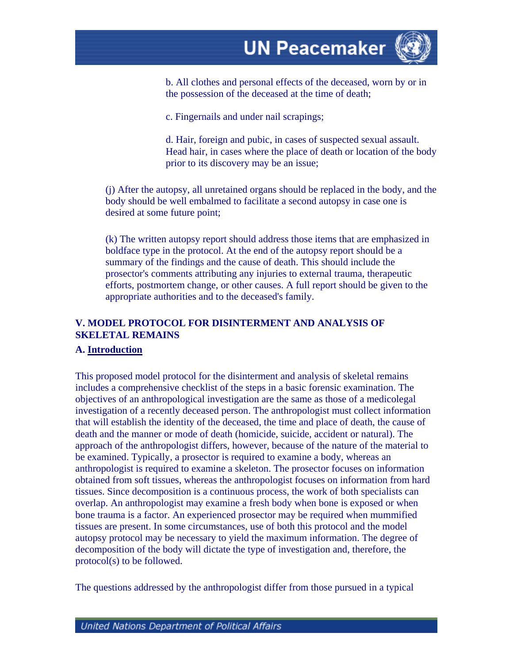

b. All clothes and personal effects of the deceased, worn by or in the possession of the deceased at the time of death;

c. Fingernails and under nail scrapings;

d. Hair, foreign and pubic, in cases of suspected sexual assault. Head hair, in cases where the place of death or location of the body prior to its discovery may be an issue;

(j) After the autopsy, all unretained organs should be replaced in the body, and the body should be well embalmed to facilitate a second autopsy in case one is desired at some future point;

(k) The written autopsy report should address those items that are emphasized in boldface type in the protocol. At the end of the autopsy report should be a summary of the findings and the cause of death. This should include the prosector's comments attributing any injuries to external trauma, therapeutic efforts, postmortem change, or other causes. A full report should be given to the appropriate authorities and to the deceased's family.

# **V. MODEL PROTOCOL FOR DISINTERMENT AND ANALYSIS OF SKELETAL REMAINS**

### **A. Introduction**

This proposed model protocol for the disinterment and analysis of skeletal remains includes a comprehensive checklist of the steps in a basic forensic examination. The objectives of an anthropological investigation are the same as those of a medicolegal investigation of a recently deceased person. The anthropologist must collect information that will establish the identity of the deceased, the time and place of death, the cause of death and the manner or mode of death (homicide, suicide, accident or natural). The approach of the anthropologist differs, however, because of the nature of the material to be examined. Typically, a prosector is required to examine a body, whereas an anthropologist is required to examine a skeleton. The prosector focuses on information obtained from soft tissues, whereas the anthropologist focuses on information from hard tissues. Since decomposition is a continuous process, the work of both specialists can overlap. An anthropologist may examine a fresh body when bone is exposed or when bone trauma is a factor. An experienced prosector may be required when mummified tissues are present. In some circumstances, use of both this protocol and the model autopsy protocol may be necessary to yield the maximum information. The degree of decomposition of the body will dictate the type of investigation and, therefore, the protocol(s) to be followed.

The questions addressed by the anthropologist differ from those pursued in a typical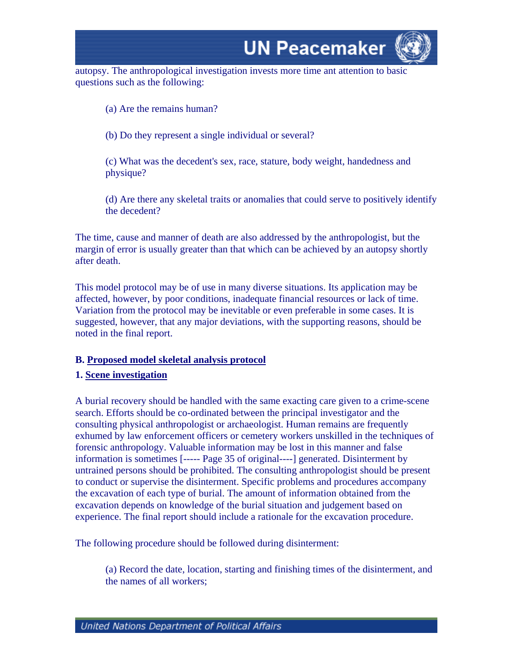

autopsy. The anthropological investigation invests more time ant attention to basic questions such as the following:

(a) Are the remains human?

(b) Do they represent a single individual or several?

(c) What was the decedent's sex, race, stature, body weight, handedness and physique?

(d) Are there any skeletal traits or anomalies that could serve to positively identify the decedent?

The time, cause and manner of death are also addressed by the anthropologist, but the margin of error is usually greater than that which can be achieved by an autopsy shortly after death.

This model protocol may be of use in many diverse situations. Its application may be affected, however, by poor conditions, inadequate financial resources or lack of time. Variation from the protocol may be inevitable or even preferable in some cases. It is suggested, however, that any major deviations, with the supporting reasons, should be noted in the final report.

#### **B. Proposed model skeletal analysis protocol**

#### **1. Scene investigation**

A burial recovery should be handled with the same exacting care given to a crime-scene search. Efforts should be co-ordinated between the principal investigator and the consulting physical anthropologist or archaeologist. Human remains are frequently exhumed by law enforcement officers or cemetery workers unskilled in the techniques of forensic anthropology. Valuable information may be lost in this manner and false information is sometimes [----- Page 35 of original----] generated. Disinterment by untrained persons should be prohibited. The consulting anthropologist should be present to conduct or supervise the disinterment. Specific problems and procedures accompany the excavation of each type of burial. The amount of information obtained from the excavation depends on knowledge of the burial situation and judgement based on experience. The final report should include a rationale for the excavation procedure.

The following procedure should be followed during disinterment:

(a) Record the date, location, starting and finishing times of the disinterment, and the names of all workers;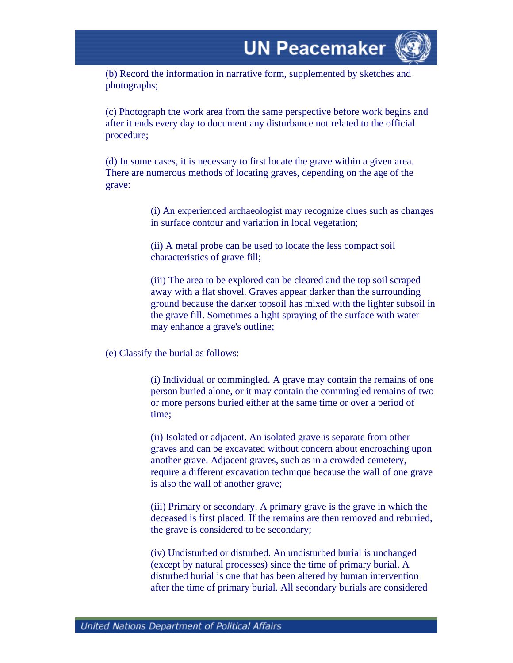

(b) Record the information in narrative form, supplemented by sketches and photographs;

(c) Photograph the work area from the same perspective before work begins and after it ends every day to document any disturbance not related to the official procedure;

(d) In some cases, it is necessary to first locate the grave within a given area. There are numerous methods of locating graves, depending on the age of the grave:

> (i) An experienced archaeologist may recognize clues such as changes in surface contour and variation in local vegetation;

(ii) A metal probe can be used to locate the less compact soil characteristics of grave fill;

(iii) The area to be explored can be cleared and the top soil scraped away with a flat shovel. Graves appear darker than the surrounding ground because the darker topsoil has mixed with the lighter subsoil in the grave fill. Sometimes a light spraying of the surface with water may enhance a grave's outline;

(e) Classify the burial as follows:

(i) Individual or commingled. A grave may contain the remains of one person buried alone, or it may contain the commingled remains of two or more persons buried either at the same time or over a period of time;

(ii) Isolated or adjacent. An isolated grave is separate from other graves and can be excavated without concern about encroaching upon another grave. Adjacent graves, such as in a crowded cemetery, require a different excavation technique because the wall of one grave is also the wall of another grave;

(iii) Primary or secondary. A primary grave is the grave in which the deceased is first placed. If the remains are then removed and reburied, the grave is considered to be secondary;

(iv) Undisturbed or disturbed. An undisturbed burial is unchanged (except by natural processes) since the time of primary burial. A disturbed burial is one that has been altered by human intervention after the time of primary burial. All secondary burials are considered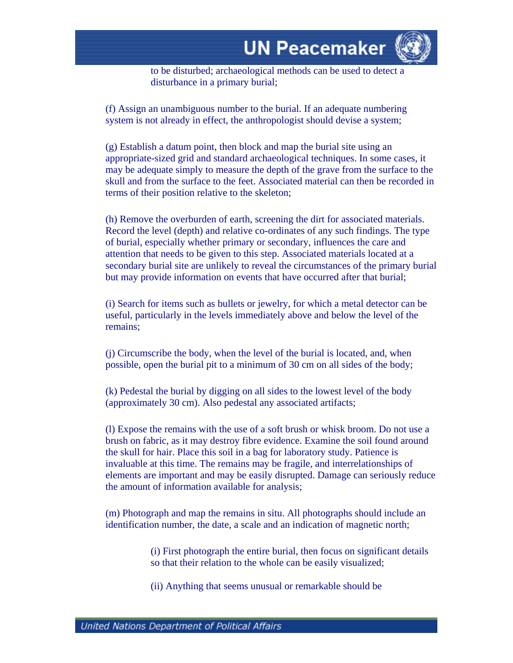to be disturbed; archaeological methods can be used to detect a disturbance in a primary burial;

(f) Assign an unambiguous number to the burial. If an adequate numbering system is not already in effect, the anthropologist should devise a system;

(g) Establish a datum point, then block and map the burial site using an appropriate-sized grid and standard archaeological techniques. In some cases, it may be adequate simply to measure the depth of the grave from the surface to the skull and from the surface to the feet. Associated material can then be recorded in terms of their position relative to the skeleton;

(h) Remove the overburden of earth, screening the dirt for associated materials. Record the level (depth) and relative co-ordinates of any such findings. The type of burial, especially whether primary or secondary, influences the care and attention that needs to be given to this step. Associated materials located at a secondary burial site are unlikely to reveal the circumstances of the primary burial but may provide information on events that have occurred after that burial;

(i) Search for items such as bullets or jewelry, for which a metal detector can be useful, particularly in the levels immediately above and below the level of the remains;

(j) Circumscribe the body, when the level of the burial is located, and, when possible, open the burial pit to a minimum of 30 cm on all sides of the body;

(k) Pedestal the burial by digging on all sides to the lowest level of the body (approximately 30 cm). Also pedestal any associated artifacts;

(l) Expose the remains with the use of a soft brush or whisk broom. Do not use a brush on fabric, as it may destroy fibre evidence. Examine the soil found around the skull for hair. Place this soil in a bag for laboratory study. Patience is invaluable at this time. The remains may be fragile, and interrelationships of elements are important and may be easily disrupted. Damage can seriously reduce the amount of information available for analysis;

(m) Photograph and map the remains in situ. All photographs should include an identification number, the date, a scale and an indication of magnetic north;

> (i) First photograph the entire burial, then focus on significant details so that their relation to the whole can be easily visualized;

(ii) Anything that seems unusual or remarkable should be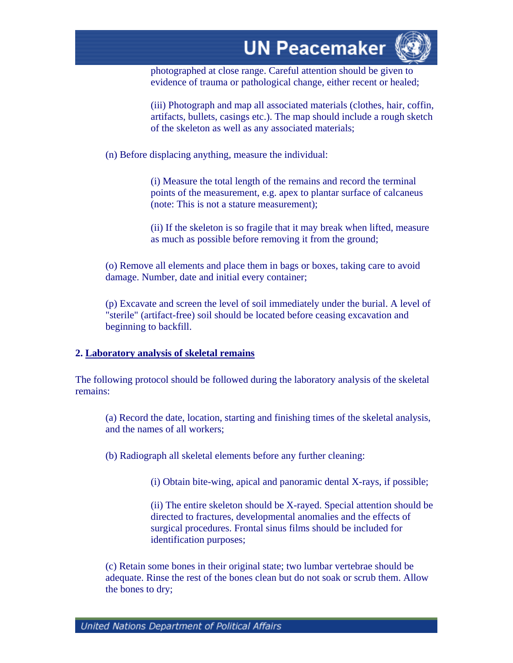

photographed at close range. Careful attention should be given to evidence of trauma or pathological change, either recent or healed;

(iii) Photograph and map all associated materials (clothes, hair, coffin, artifacts, bullets, casings etc.). The map should include a rough sketch of the skeleton as well as any associated materials;

(n) Before displacing anything, measure the individual:

(i) Measure the total length of the remains and record the terminal points of the measurement, e.g. apex to plantar surface of calcaneus (note: This is not a stature measurement);

(ii) If the skeleton is so fragile that it may break when lifted, measure as much as possible before removing it from the ground;

(o) Remove all elements and place them in bags or boxes, taking care to avoid damage. Number, date and initial every container;

(p) Excavate and screen the level of soil immediately under the burial. A level of "sterile" (artifact-free) soil should be located before ceasing excavation and beginning to backfill.

#### **2. Laboratory analysis of skeletal remains**

The following protocol should be followed during the laboratory analysis of the skeletal remains:

(a) Record the date, location, starting and finishing times of the skeletal analysis, and the names of all workers;

(b) Radiograph all skeletal elements before any further cleaning:

(i) Obtain bite-wing, apical and panoramic dental X-rays, if possible;

(ii) The entire skeleton should be X-rayed. Special attention should be directed to fractures, developmental anomalies and the effects of surgical procedures. Frontal sinus films should be included for identification purposes;

(c) Retain some bones in their original state; two lumbar vertebrae should be adequate. Rinse the rest of the bones clean but do not soak or scrub them. Allow the bones to dry;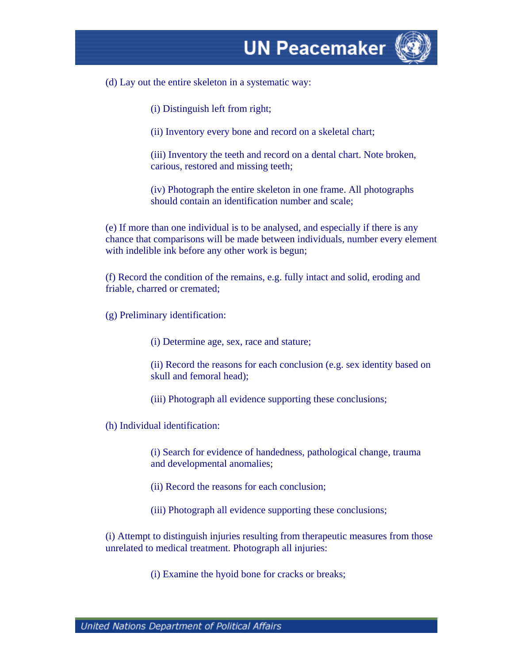

(d) Lay out the entire skeleton in a systematic way:

(i) Distinguish left from right;

(ii) Inventory every bone and record on a skeletal chart;

(iii) Inventory the teeth and record on a dental chart. Note broken, carious, restored and missing teeth;

(iv) Photograph the entire skeleton in one frame. All photographs should contain an identification number and scale;

(e) If more than one individual is to be analysed, and especially if there is any chance that comparisons will be made between individuals, number every element with indelible ink before any other work is begun;

(f) Record the condition of the remains, e.g. fully intact and solid, eroding and friable, charred or cremated;

(g) Preliminary identification:

(i) Determine age, sex, race and stature;

(ii) Record the reasons for each conclusion (e.g. sex identity based on skull and femoral head);

(iii) Photograph all evidence supporting these conclusions;

(h) Individual identification:

(i) Search for evidence of handedness, pathological change, trauma and developmental anomalies;

(ii) Record the reasons for each conclusion;

(iii) Photograph all evidence supporting these conclusions;

(i) Attempt to distinguish injuries resulting from therapeutic measures from those unrelated to medical treatment. Photograph all injuries:

(i) Examine the hyoid bone for cracks or breaks;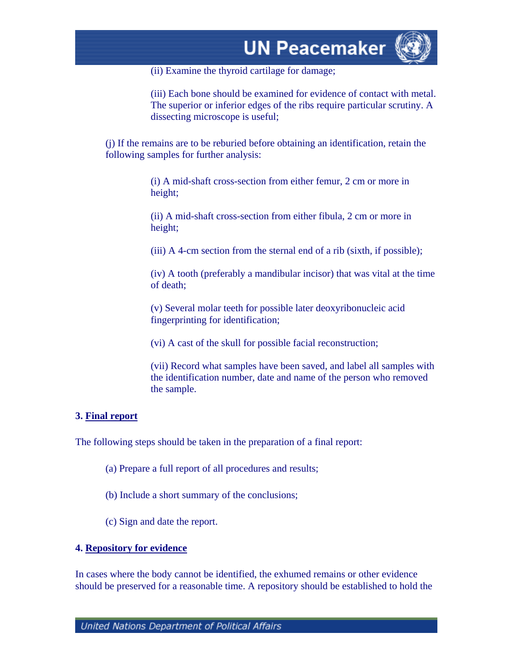

(ii) Examine the thyroid cartilage for damage;

(iii) Each bone should be examined for evidence of contact with metal. The superior or inferior edges of the ribs require particular scrutiny. A dissecting microscope is useful;

(j) If the remains are to be reburied before obtaining an identification, retain the following samples for further analysis:

> (i) A mid-shaft cross-section from either femur, 2 cm or more in height;

> (ii) A mid-shaft cross-section from either fibula, 2 cm or more in height;

(iii) A 4-cm section from the sternal end of a rib (sixth, if possible);

(iv) A tooth (preferably a mandibular incisor) that was vital at the time of death;

(v) Several molar teeth for possible later deoxyribonucleic acid fingerprinting for identification;

(vi) A cast of the skull for possible facial reconstruction;

(vii) Record what samples have been saved, and label all samples with the identification number, date and name of the person who removed the sample.

### **3. Final report**

The following steps should be taken in the preparation of a final report:

- (a) Prepare a full report of all procedures and results;
- (b) Include a short summary of the conclusions;
- (c) Sign and date the report.

### **4. Repository for evidence**

In cases where the body cannot be identified, the exhumed remains or other evidence should be preserved for a reasonable time. A repository should be established to hold the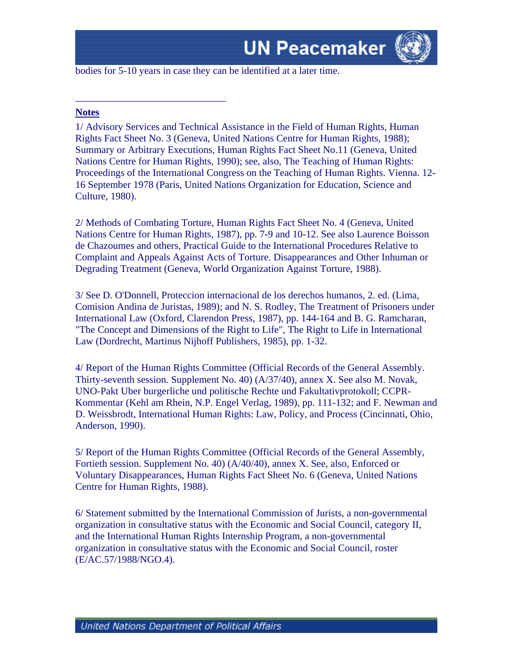bodies for 5-10 years in case they can be identified at a later time.

\_\_\_\_\_\_\_\_\_\_\_\_\_\_\_\_\_\_\_\_\_\_\_\_\_\_\_\_\_\_

#### **Notes**

1/ Advisory Services and Technical Assistance in the Field of Human Rights, Human Rights Fact Sheet No. 3 (Geneva, United Nations Centre for Human Rights, 1988); Summary or Arbitrary Executions, Human Rights Fact Sheet No.11 (Geneva, United Nations Centre for Human Rights, 1990); see, also, The Teaching of Human Rights: Proceedings of the International Congress on the Teaching of Human Rights. Vienna. 12- 16 September 1978 (Paris, United Nations Organization for Education, Science and Culture, 1980).

2/ Methods of Combating Torture, Human Rights Fact Sheet No. 4 (Geneva, United Nations Centre for Human Rights, 1987), pp. 7-9 and 10-12. See also Laurence Boisson de Chazoumes and others, Practical Guide to the International Procedures Relative to Complaint and Appeals Against Acts of Torture. Disappearances and Other Inhuman or Degrading Treatment (Geneva, World Organization Against Torture, 1988).

3/ See D. O'Donnell, Proteccion internacional de los derechos humanos, 2. ed. (Lima, Comision Andina de Juristas, 1989); and N. S. Rodley, The Treatment of Prisoners under International Law (Oxford, Clarendon Press, 1987), pp. 144-164 and B. G. Ramcharan, "The Concept and Dimensions of the Right to Life", The Right to Life in International Law (Dordrecht, Martinus Nijhoff Publishers, 1985), pp. 1-32.

4/ Report of the Human Rights Committee (Official Records of the General Assembly. Thirty-seventh session. Supplement No. 40) (A/37/40), annex X. See also M. Novak, UNO-Pakt Uber burgerliche und politische Rechte und Fakultativprotokoll; CCPR-Kommentar (Kehl am Rhein, N.P. Engel Verlag, 1989), pp. 111-132; and F. Newman and D. Weissbrodt, International Human Rights: Law, Policy, and Process (Cincinnati, Ohio, Anderson, 1990).

5/ Report of the Human Rights Committee (Official Records of the General Assembly, Fortieth session. Supplement No. 40) (A/40/40), annex X. See, also, Enforced or Voluntary Disappearances, Human Rights Fact Sheet No. 6 (Geneva, United Nations Centre for Human Rights, 1988).

6/ Statement submitted by the International Commission of Jurists, a non-governmental organization in consultative status with the Economic and Social Council, category II, and the International Human Rights Internship Program, a non-governmental organization in consultative status with the Economic and Social Council, roster (E/AC.57/1988/NGO.4).